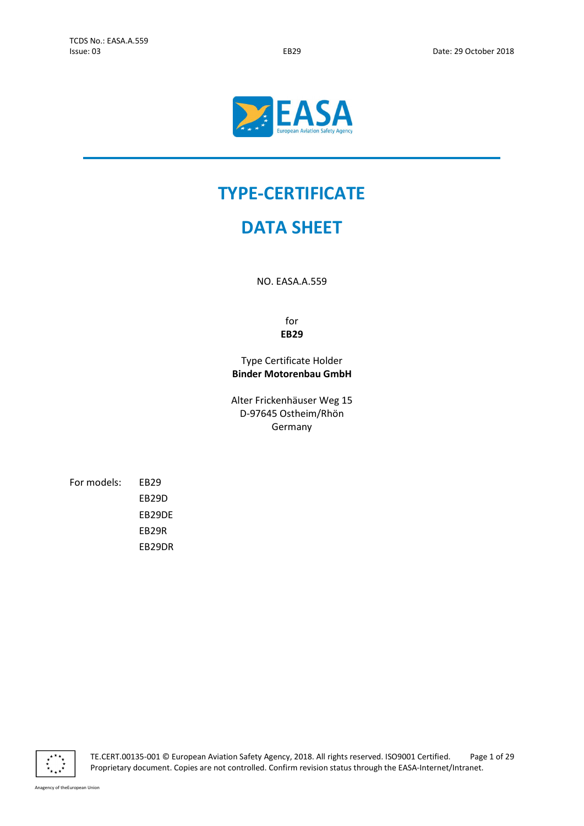j.



# TYPE-CERTIFICATE

# DATA SHEET

NO. EASA.A.559

for EB29

Type Certificate Holder Binder Motorenbau GmbH

Alter Frickenhäuser Weg 15 D-97645 Ostheim/Rhön Germany

For models: EB29 EB29D EB29DE EB29R EB29DR



TE.CERT.00135-001 © European Aviation Safety Agency, 2018. All rights reserved. ISO9001 Certified. Page 1 of 29 Proprietary document. Copies are not controlled. Confirm revision status through the EASA-Internet/Intranet.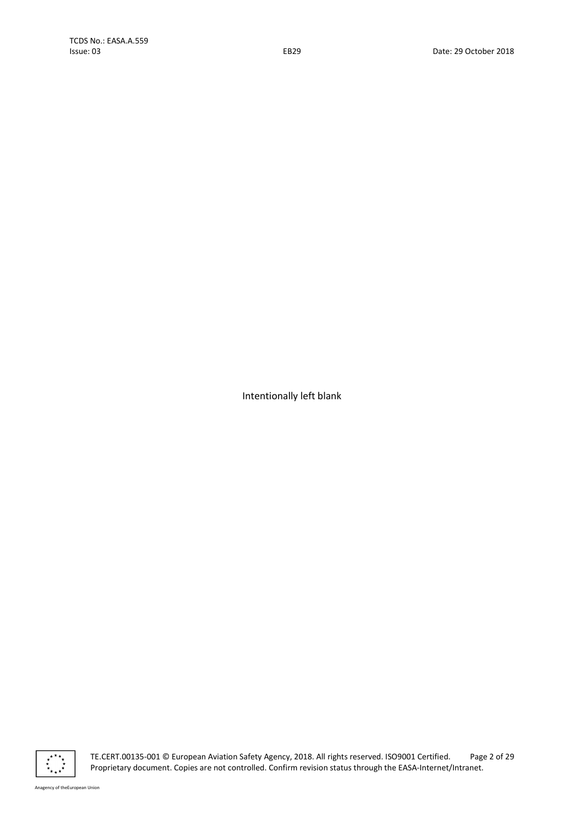Intentionally left blank



TE.CERT.00135-001 © European Aviation Safety Agency, 2018. All rights reserved. ISO9001 Certified. Page 2 of 29 Proprietary document. Copies are not controlled. Confirm revision status through the EASA-Internet/Intranet.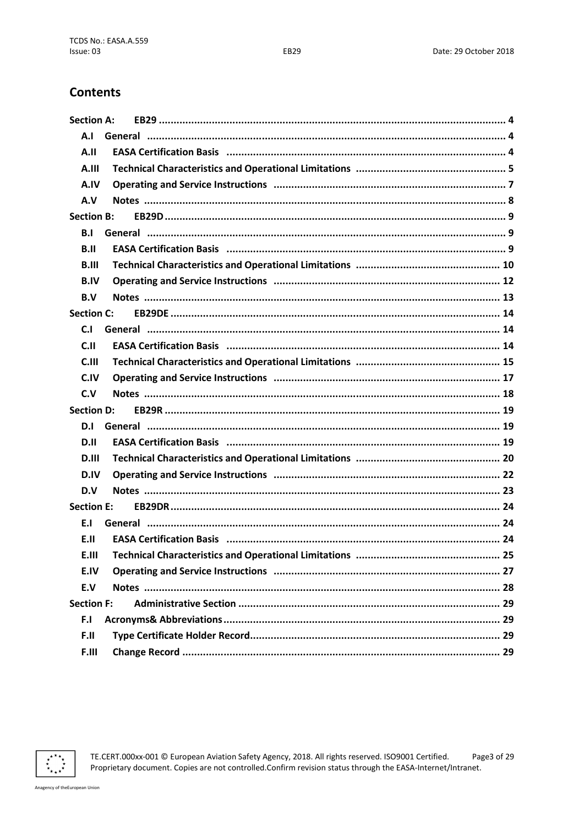# **Contents**

| <b>Section A:</b>                                                                   |
|-------------------------------------------------------------------------------------|
| A.I                                                                                 |
| A.II                                                                                |
| A.III                                                                               |
| A.IV                                                                                |
| A.V                                                                                 |
| <b>Section B:</b>                                                                   |
| B.I                                                                                 |
| B.II                                                                                |
| B.III                                                                               |
| <b>B.IV</b>                                                                         |
| B.V                                                                                 |
| <b>Section C:</b>                                                                   |
| C <sub>1</sub>                                                                      |
| C.II<br>EASA Certification Basis …………………………………………………………………………………… 14                |
| C.III                                                                               |
| C.IV                                                                                |
| C.V                                                                                 |
| <b>Section D:</b>                                                                   |
| D.I                                                                                 |
| D.II                                                                                |
| D.III                                                                               |
| D.IV                                                                                |
| D.V                                                                                 |
| <b>Section E:</b>                                                                   |
| E.I                                                                                 |
| EASA Certification Basis (and manuminuminuminuminuminuminuminuminuminum 24)<br>E.II |
| E.III                                                                               |
| E.IV                                                                                |
| E.V                                                                                 |
| <b>Section F:</b>                                                                   |
| F.I                                                                                 |
| F.H                                                                                 |
| F.III                                                                               |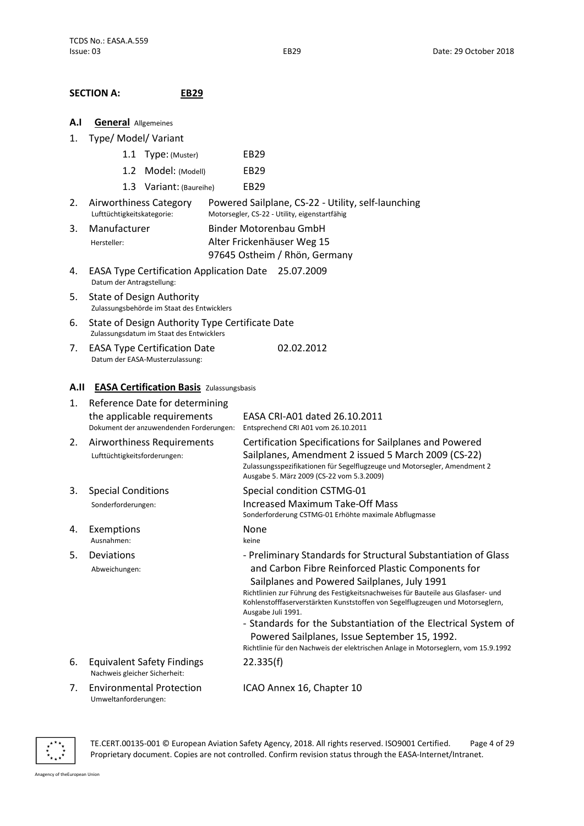# SECTION A: EB29

| A.I   | <b>General</b> Allgemeines                                                                  |  |                                                                                                                                                                               |  |  |  |
|-------|---------------------------------------------------------------------------------------------|--|-------------------------------------------------------------------------------------------------------------------------------------------------------------------------------|--|--|--|
| 1.    | Type/ Model/ Variant                                                                        |  |                                                                                                                                                                               |  |  |  |
|       | 1.1 Type: (Muster)                                                                          |  | EB29                                                                                                                                                                          |  |  |  |
|       | 1.2 Model: (Modell)                                                                         |  | EB29                                                                                                                                                                          |  |  |  |
|       | 1.3 Variant: (Baureihe)                                                                     |  | EB29                                                                                                                                                                          |  |  |  |
| 2.    | Airworthiness Category                                                                      |  | Powered Sailplane, CS-22 - Utility, self-launching                                                                                                                            |  |  |  |
|       | Lufttüchtigkeitskategorie:                                                                  |  | Motorsegler, CS-22 - Utility, eigenstartfähig                                                                                                                                 |  |  |  |
| 3.    | Manufacturer                                                                                |  | Binder Motorenbau GmbH                                                                                                                                                        |  |  |  |
|       | Hersteller:                                                                                 |  | Alter Frickenhäuser Weg 15                                                                                                                                                    |  |  |  |
|       |                                                                                             |  | 97645 Ostheim / Rhön, Germany                                                                                                                                                 |  |  |  |
| 4.    | EASA Type Certification Application Date 25.07.2009<br>Datum der Antragstellung:            |  |                                                                                                                                                                               |  |  |  |
| 5.    | <b>State of Design Authority</b><br>Zulassungsbehörde im Staat des Entwicklers              |  |                                                                                                                                                                               |  |  |  |
| 6.    | State of Design Authority Type Certificate Date<br>Zulassungsdatum im Staat des Entwicklers |  |                                                                                                                                                                               |  |  |  |
| 7.    | <b>EASA Type Certification Date</b><br>Datum der EASA-Musterzulassung:                      |  | 02.02.2012                                                                                                                                                                    |  |  |  |
|       |                                                                                             |  |                                                                                                                                                                               |  |  |  |
| A.II. | <b>EASA Certification Basis</b> Zulassungsbasis                                             |  |                                                                                                                                                                               |  |  |  |
| 1.    | Reference Date for determining                                                              |  |                                                                                                                                                                               |  |  |  |
|       | the applicable requirements<br>Dokument der anzuwendenden Forderungen:                      |  | EASA CRI-A01 dated 26.10.2011<br>Entsprechend CRI A01 vom 26.10.2011                                                                                                          |  |  |  |
| 2.    | Airworthiness Requirements                                                                  |  | Certification Specifications for Sailplanes and Powered                                                                                                                       |  |  |  |
|       | Lufttüchtigkeitsforderungen:                                                                |  | Sailplanes, Amendment 2 issued 5 March 2009 (CS-22)<br>Zulassungsspezifikationen für Segelflugzeuge und Motorsegler, Amendment 2<br>Ausgabe 5. März 2009 (CS-22 vom 5.3.2009) |  |  |  |
| 3.    | <b>Special Conditions</b>                                                                   |  | Special condition CSTMG-01                                                                                                                                                    |  |  |  |
|       | Sonderforderungen:                                                                          |  | <b>Increased Maximum Take-Off Mass</b><br>Sonderforderung CSTMG-01 Erhöhte maximale Abflugmasse                                                                               |  |  |  |
| 4.    | Exemptions<br>Ausnahmen:                                                                    |  | None<br>keine                                                                                                                                                                 |  |  |  |
| 5.    | Deviations                                                                                  |  | - Preliminary Standards for Structural Substantiation of Glass                                                                                                                |  |  |  |
|       | Abweichungen:                                                                               |  | and Carbon Fibre Reinforced Plastic Components for                                                                                                                            |  |  |  |
|       |                                                                                             |  | Sailplanes and Powered Sailplanes, July 1991<br>Richtlinien zur Führung des Festigkeitsnachweises für Bauteile aus Glasfaser- und                                             |  |  |  |
|       |                                                                                             |  | Kohlenstofffaserverstärkten Kunststoffen von Segelflugzeugen und Motorseglern,                                                                                                |  |  |  |
|       |                                                                                             |  | Ausgabe Juli 1991.<br>- Standards for the Substantiation of the Electrical System of                                                                                          |  |  |  |
|       |                                                                                             |  | Powered Sailplanes, Issue September 15, 1992.                                                                                                                                 |  |  |  |
|       |                                                                                             |  | Richtlinie für den Nachweis der elektrischen Anlage in Motorseglern, vom 15.9.1992                                                                                            |  |  |  |
| 6.    | <b>Equivalent Safety Findings</b><br>Nachweis gleicher Sicherheit:                          |  | 22.335(f)                                                                                                                                                                     |  |  |  |
| 7.    | <b>Environmental Protection</b><br>Umweltanforderungen:                                     |  | ICAO Annex 16, Chapter 10                                                                                                                                                     |  |  |  |



TE.CERT.00135-001 © European Aviation Safety Agency, 2018. All rights reserved. ISO9001 Certified. Page 4 of 29 Proprietary document. Copies are not controlled. Confirm revision status through the EASA-Internet/Intranet.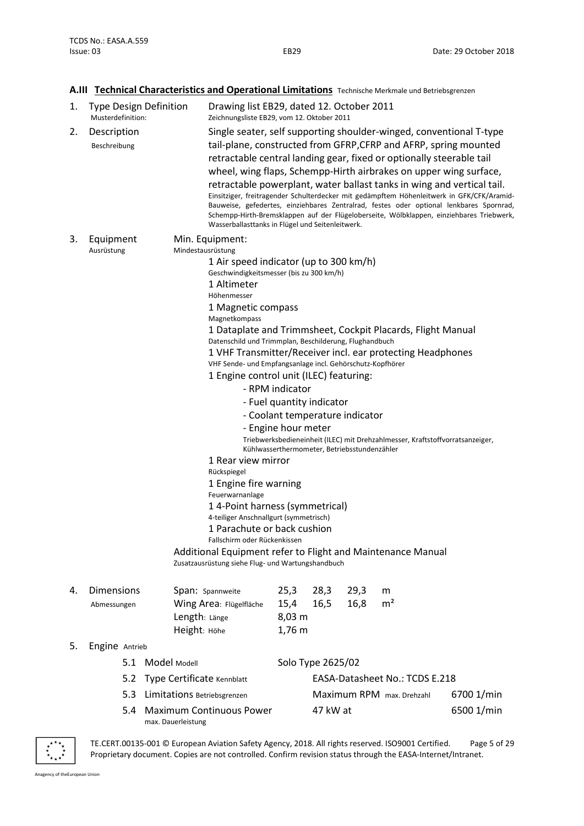## A.III Technical Characteristics and Operational Limitations Technische Merkmale und Betriebsgrenzen

| 1. | <b>Type Design Definition</b><br>Musterdefinition: |     | Drawing list EB29, dated 12. October 2011<br>Zeichnungsliste EB29, vom 12. Oktober 2011                                                                                                                                                                                                                                                                                                                                                                                                                                                                                                                                                                                                                                                                                                                                                                                                                                                                                                                                                                                                                                                                                          |                                                                                                                                                  |                                         |                   |              |                                |                                                                                                                                                                                                                                                                                                                                                                                     |
|----|----------------------------------------------------|-----|----------------------------------------------------------------------------------------------------------------------------------------------------------------------------------------------------------------------------------------------------------------------------------------------------------------------------------------------------------------------------------------------------------------------------------------------------------------------------------------------------------------------------------------------------------------------------------------------------------------------------------------------------------------------------------------------------------------------------------------------------------------------------------------------------------------------------------------------------------------------------------------------------------------------------------------------------------------------------------------------------------------------------------------------------------------------------------------------------------------------------------------------------------------------------------|--------------------------------------------------------------------------------------------------------------------------------------------------|-----------------------------------------|-------------------|--------------|--------------------------------|-------------------------------------------------------------------------------------------------------------------------------------------------------------------------------------------------------------------------------------------------------------------------------------------------------------------------------------------------------------------------------------|
| 2. | Description<br>Beschreibung                        |     |                                                                                                                                                                                                                                                                                                                                                                                                                                                                                                                                                                                                                                                                                                                                                                                                                                                                                                                                                                                                                                                                                                                                                                                  | retractable central landing gear, fixed or optionally steerable tail                                                                             |                                         |                   |              |                                | Single seater, self supporting shoulder-winged, conventional T-type<br>tail-plane, constructed from GFRP, CFRP and AFRP, spring mounted<br>wheel, wing flaps, Schempp-Hirth airbrakes on upper wing surface,<br>retractable powerplant, water ballast tanks in wing and vertical tail.<br>Einsitziger, freitragender Schulterdecker mit gedämpftem Höhenleitwerk in GFK/CFK/Aramid- |
| 3. | Equipment<br>Ausrüstung                            |     | Bauweise, gefedertes, einziehbares Zentralrad, festes oder optional lenkbares Spornrad,<br>Schempp-Hirth-Bremsklappen auf der Flügeloberseite, Wölbklappen, einziehbares Triebwerk,<br>Wasserballasttanks in Flügel und Seitenleitwerk.<br>Min. Equipment:<br>Mindestausrüstung<br>1 Air speed indicator (up to 300 km/h)<br>Geschwindigkeitsmesser (bis zu 300 km/h)<br>1 Altimeter<br>Höhenmesser<br>1 Magnetic compass<br>Magnetkompass<br>1 Dataplate and Trimmsheet, Cockpit Placards, Flight Manual<br>Datenschild und Trimmplan, Beschilderung, Flughandbuch<br>1 VHF Transmitter/Receiver incl. ear protecting Headphones<br>VHF Sende- und Empfangsanlage incl. Gehörschutz-Kopfhörer<br>1 Engine control unit (ILEC) featuring:<br>- RPM indicator<br>- Fuel quantity indicator<br>- Coolant temperature indicator<br>- Engine hour meter<br>Triebwerksbedieneinheit (ILEC) mit Drehzahlmesser, Kraftstoffvorratsanzeiger,<br>Kühlwasserthermometer, Betriebsstundenzähler<br>1 Rear view mirror<br>Rückspiegel<br>1 Engine fire warning<br>Feuerwarnanlage<br>14-Point harness (symmetrical)<br>4-teiliger Anschnallgurt (symmetrisch)<br>1 Parachute or back cushion |                                                                                                                                                  |                                         |                   |              |                                |                                                                                                                                                                                                                                                                                                                                                                                     |
|    |                                                    |     |                                                                                                                                                                                                                                                                                                                                                                                                                                                                                                                                                                                                                                                                                                                                                                                                                                                                                                                                                                                                                                                                                                                                                                                  | Fallschirm oder Rückenkissen<br>Additional Equipment refer to Flight and Maintenance Manual<br>Zusatzausrüstung siehe Flug- und Wartungshandbuch |                                         |                   |              |                                |                                                                                                                                                                                                                                                                                                                                                                                     |
| 4. | <b>Dimensions</b><br>Abmessungen                   |     | Length: Länge<br>Height: Höhe                                                                                                                                                                                                                                                                                                                                                                                                                                                                                                                                                                                                                                                                                                                                                                                                                                                                                                                                                                                                                                                                                                                                                    | 25,3<br>Span: Spannweite<br>15,4<br>Wing Area: Flügelfläche<br>8,03 m<br>$1,76 \; m$                                                             |                                         | 28,3<br>16,5      | 29,3<br>16,8 | m<br>m <sup>2</sup>            |                                                                                                                                                                                                                                                                                                                                                                                     |
| 5. | Engine Antrieb                                     |     |                                                                                                                                                                                                                                                                                                                                                                                                                                                                                                                                                                                                                                                                                                                                                                                                                                                                                                                                                                                                                                                                                                                                                                                  |                                                                                                                                                  |                                         |                   |              |                                |                                                                                                                                                                                                                                                                                                                                                                                     |
|    |                                                    | 5.1 | Model Modell                                                                                                                                                                                                                                                                                                                                                                                                                                                                                                                                                                                                                                                                                                                                                                                                                                                                                                                                                                                                                                                                                                                                                                     |                                                                                                                                                  |                                         | Solo Type 2625/02 |              |                                |                                                                                                                                                                                                                                                                                                                                                                                     |
|    |                                                    | 5.2 | Type Certificate Kennblatt                                                                                                                                                                                                                                                                                                                                                                                                                                                                                                                                                                                                                                                                                                                                                                                                                                                                                                                                                                                                                                                                                                                                                       |                                                                                                                                                  |                                         |                   |              | EASA-Datasheet No.: TCDS E.218 |                                                                                                                                                                                                                                                                                                                                                                                     |
|    |                                                    | 5.3 |                                                                                                                                                                                                                                                                                                                                                                                                                                                                                                                                                                                                                                                                                                                                                                                                                                                                                                                                                                                                                                                                                                                                                                                  | Limitations Betriebsgrenzen                                                                                                                      | Maximum RPM max. Drehzahl<br>6700 1/min |                   |              |                                |                                                                                                                                                                                                                                                                                                                                                                                     |
|    | 5.4                                                |     |                                                                                                                                                                                                                                                                                                                                                                                                                                                                                                                                                                                                                                                                                                                                                                                                                                                                                                                                                                                                                                                                                                                                                                                  | <b>Maximum Continuous Power</b>                                                                                                                  |                                         | 47 kW at          |              |                                | 6500 1/min                                                                                                                                                                                                                                                                                                                                                                          |

max. Dauerleistung



TE.CERT.00135-001 © European Aviation Safety Agency, 2018. All rights reserved. ISO9001 Certified. Page 5 of 29 Proprietary document. Copies are not controlled. Confirm revision status through the EASA-Internet/Intranet.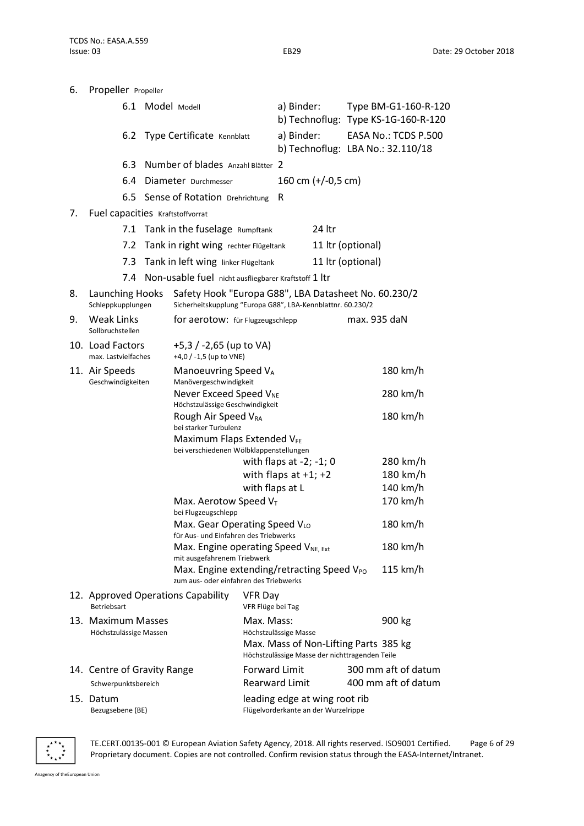6. Propeller Propeller

|    |                                              | 6.1 Model Modell                                                                                                         |                                     | a) Binder:                    |                      |                                                                                         | Type BM-G1-160-R-120<br>b) Technoflug: Type KS-1G-160-R-120 |  |
|----|----------------------------------------------|--------------------------------------------------------------------------------------------------------------------------|-------------------------------------|-------------------------------|----------------------|-----------------------------------------------------------------------------------------|-------------------------------------------------------------|--|
|    |                                              | 6.2 Type Certificate Kennblatt                                                                                           |                                     | a) Binder:                    |                      |                                                                                         | EASA No.: TCDS P.500<br>b) Technoflug: LBA No.: 32.110/18   |  |
|    | 6.3                                          | Number of blades Anzahl Blätter 2                                                                                        |                                     |                               |                      |                                                                                         |                                                             |  |
|    | 6.4                                          | Diameter Durchmesser                                                                                                     |                                     |                               | 160 cm $(+/-0.5$ cm) |                                                                                         |                                                             |  |
|    |                                              | 6.5 Sense of Rotation Drehrichtung                                                                                       |                                     | R                             |                      |                                                                                         |                                                             |  |
| 7. | Fuel capacities Kraftstoffvorrat             |                                                                                                                          |                                     |                               |                      |                                                                                         |                                                             |  |
|    | 7.1                                          | Tank in the fuselage Rumpftank                                                                                           |                                     |                               | 24 ltr               |                                                                                         |                                                             |  |
|    | 7.2                                          | Tank in right wing rechter Flügeltank                                                                                    |                                     |                               |                      | 11 ltr (optional)                                                                       |                                                             |  |
|    | 7.3                                          | Tank in left wing linker Flügeltank                                                                                      |                                     |                               |                      | 11 ltr (optional)                                                                       |                                                             |  |
|    | 7.4                                          | Non-usable fuel nicht ausfliegbarer Kraftstoff 1 ltr                                                                     |                                     |                               |                      |                                                                                         |                                                             |  |
| 8. | Launching Hooks<br>Schleppkupplungen         | Safety Hook "Europa G88", LBA Datasheet No. 60.230/2<br>Sicherheitskupplung "Europa G88", LBA-Kennblattnr. 60.230/2      |                                     |                               |                      |                                                                                         |                                                             |  |
| 9. | Weak Links<br>Sollbruchstellen               | for aerotow: für Flugzeugschlepp                                                                                         |                                     |                               |                      | max. 935 daN                                                                            |                                                             |  |
|    | 10. Load Factors<br>max. Lastvielfaches      | +5,3 $/$ -2,65 (up to VA)<br>+4,0 / -1,5 (up to VNE)                                                                     |                                     |                               |                      |                                                                                         |                                                             |  |
|    | 11. Air Speeds<br>Geschwindigkeiten          | Manoeuvring Speed VA                                                                                                     |                                     |                               |                      |                                                                                         | 180 km/h                                                    |  |
|    |                                              | Manövergeschwindigkeit<br>Never Exceed Speed V <sub>NE</sub><br>Höchstzulässige Geschwindigkeit                          |                                     |                               |                      |                                                                                         | 280 km/h                                                    |  |
|    |                                              | Rough Air Speed VRA<br>bei starker Turbulenz                                                                             |                                     |                               |                      |                                                                                         | 180 km/h                                                    |  |
|    |                                              | Maximum Flaps Extended VFE<br>bei verschiedenen Wölbklappenstellungen                                                    |                                     |                               |                      |                                                                                         |                                                             |  |
|    |                                              |                                                                                                                          |                                     | with flaps at $-2$ ; $-1$ ; 0 |                      |                                                                                         | 280 km/h                                                    |  |
|    |                                              |                                                                                                                          |                                     | with flaps at $+1$ ; $+2$     |                      |                                                                                         | 180 km/h                                                    |  |
|    |                                              |                                                                                                                          | with flaps at L                     |                               |                      |                                                                                         | 140 km/h                                                    |  |
|    |                                              | Max. Aerotow Speed VT<br>bei Flugzeugschlepp                                                                             |                                     |                               |                      |                                                                                         | 170 km/h                                                    |  |
|    |                                              | Max. Gear Operating Speed VLO                                                                                            |                                     |                               |                      |                                                                                         | 180 km/h                                                    |  |
|    |                                              | für Aus- und Einfahren des Triebwerks<br>Max. Engine operating Speed V <sub>NE, Ext</sub><br>mit ausgefahrenem Triebwerk |                                     |                               |                      |                                                                                         | 180 km/h                                                    |  |
|    |                                              | Max. Engine extending/retracting Speed $V_{PO}$<br>zum aus- oder einfahren des Triebwerks                                |                                     |                               |                      |                                                                                         | $115$ km/h                                                  |  |
|    | <b>Betriebsart</b>                           | 12. Approved Operations Capability                                                                                       | <b>VFR Day</b><br>VFR Flüge bei Tag |                               |                      |                                                                                         |                                                             |  |
|    | 13. Maximum Masses<br>Höchstzulässige Massen |                                                                                                                          | Max. Mass:                          | Höchstzulässige Masse         |                      |                                                                                         | 900 kg                                                      |  |
|    |                                              |                                                                                                                          |                                     |                               |                      | Max. Mass of Non-Lifting Parts 385 kg<br>Höchstzulässige Masse der nichttragenden Teile |                                                             |  |
|    | 14. Centre of Gravity Range                  |                                                                                                                          |                                     | <b>Forward Limit</b>          |                      |                                                                                         | 300 mm aft of datum                                         |  |
|    | Schwerpunktsbereich                          |                                                                                                                          |                                     | <b>Rearward Limit</b>         |                      |                                                                                         | 400 mm aft of datum                                         |  |
|    |                                              |                                                                                                                          |                                     |                               |                      |                                                                                         |                                                             |  |

15. Datum leading edge at wing root rib Bezugsebene (BE) Flügelvorderkante an der Wurzelrippe



TE.CERT.00135-001 © European Aviation Safety Agency, 2018. All rights reserved. ISO9001 Certified. Page 6 of 29 Proprietary document. Copies are not controlled. Confirm revision status through the EASA-Internet/Intranet.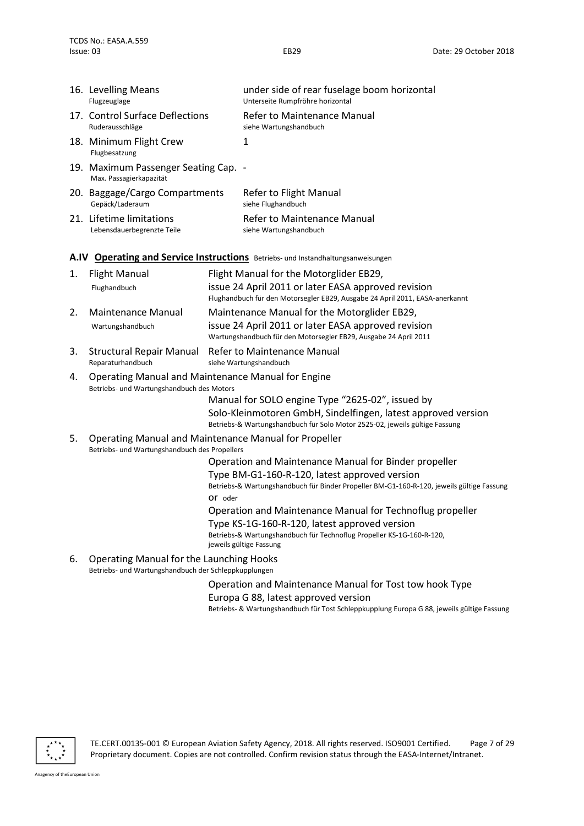| 16. Levelling Means<br>Flugzeuglage                             | under side of rear fuselage boom horizontal<br>Unterseite Rumpfröhre horizontal |
|-----------------------------------------------------------------|---------------------------------------------------------------------------------|
| 17. Control Surface Deflections<br>Ruderausschläge              | Refer to Maintenance Manual<br>siehe Wartungshandbuch                           |
| 18. Minimum Flight Crew<br>Flugbesatzung                        | 1                                                                               |
| 19. Maximum Passenger Seating Cap. -<br>Max. Passagierkapazität |                                                                                 |
| 20. Baggage/Cargo Compartments<br>Gepäck/Laderaum               | Refer to Flight Manual<br>siehe Flughandbuch                                    |
| 21. Lifetime limitations<br>Lebensdauerbegrenzte Teile          | Refer to Maintenance Manual<br>siehe Wartungshandbuch                           |

## A.IV Operating and Service Instructions Betriebs- und Instandhaltungsanweisungen

| 1. | <b>Flight Manual</b><br>Flughandbuch                                                             | Flight Manual for the Motorglider EB29,<br>issue 24 April 2011 or later EASA approved revision<br>Flughandbuch für den Motorsegler EB29, Ausgabe 24 April 2011, EASA-anerkannt                                                                                                                                                                                                                                                                                                            |  |  |  |
|----|--------------------------------------------------------------------------------------------------|-------------------------------------------------------------------------------------------------------------------------------------------------------------------------------------------------------------------------------------------------------------------------------------------------------------------------------------------------------------------------------------------------------------------------------------------------------------------------------------------|--|--|--|
| 2. | <b>Maintenance Manual</b><br>Wartungshandbuch                                                    | Maintenance Manual for the Motorglider EB29,<br>issue 24 April 2011 or later EASA approved revision<br>Wartungshandbuch für den Motorsegler EB29, Ausgabe 24 April 2011                                                                                                                                                                                                                                                                                                                   |  |  |  |
| 3. | <b>Structural Repair Manual</b><br>Reparaturhandbuch                                             | Refer to Maintenance Manual<br>siehe Wartungshandbuch                                                                                                                                                                                                                                                                                                                                                                                                                                     |  |  |  |
| 4. | Betriebs- und Wartungshandbuch des Motors                                                        | Operating Manual and Maintenance Manual for Engine<br>Manual for SOLO engine Type "2625-02", issued by<br>Solo-Kleinmotoren GmbH, Sindelfingen, latest approved version<br>Betriebs-& Wartungshandbuch für Solo Motor 2525-02, jeweils gültige Fassung                                                                                                                                                                                                                                    |  |  |  |
| 5. | Betriebs- und Wartungshandbuch des Propellers                                                    | Operating Manual and Maintenance Manual for Propeller<br>Operation and Maintenance Manual for Binder propeller<br>Type BM-G1-160-R-120, latest approved version<br>Betriebs-& Wartungshandbuch für Binder Propeller BM-G1-160-R-120, jeweils gültige Fassung<br>Or oder<br>Operation and Maintenance Manual for Technoflug propeller<br>Type KS-1G-160-R-120, latest approved version<br>Betriebs-& Wartungshandbuch für Technoflug Propeller KS-1G-160-R-120,<br>jeweils gültige Fassung |  |  |  |
| 6. | Operating Manual for the Launching Hooks<br>Betriebs- und Wartungshandbuch der Schleppkupplungen |                                                                                                                                                                                                                                                                                                                                                                                                                                                                                           |  |  |  |
|    |                                                                                                  | Operation and Maintenance Manual for Tost tow hook Type<br>Europa G 88, latest approved version                                                                                                                                                                                                                                                                                                                                                                                           |  |  |  |

Betriebs- & Wartungshandbuch für Tost Schleppkupplung Europa G 88, jeweils gültige Fassung



TE.CERT.00135-001 © European Aviation Safety Agency, 2018. All rights reserved. ISO9001 Certified. Page 7 of 29 Proprietary document. Copies are not controlled. Confirm revision status through the EASA-Internet/Intranet.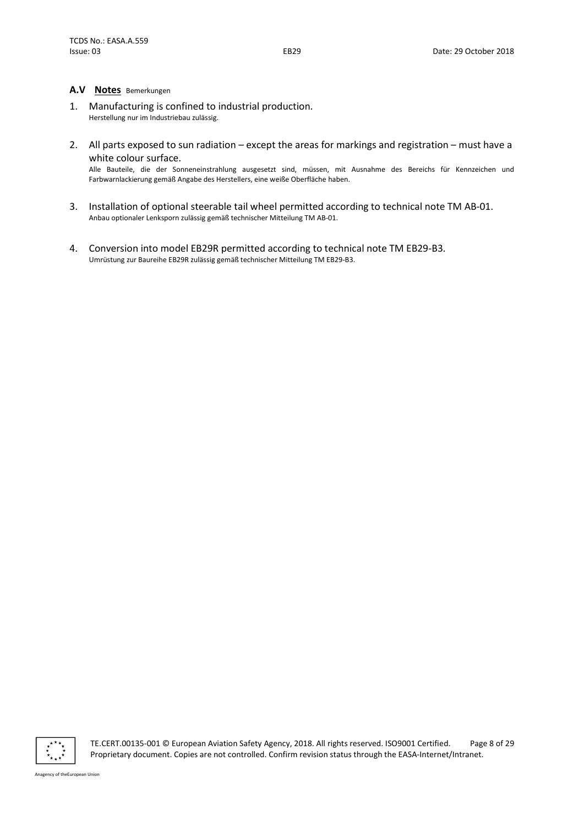#### A.V Notes Bemerkungen

- 1. Manufacturing is confined to industrial production. Herstellung nur im Industriebau zulässig.
- 2. All parts exposed to sun radiation except the areas for markings and registration must have a white colour surface.

Alle Bauteile, die der Sonneneinstrahlung ausgesetzt sind, müssen, mit Ausnahme des Bereichs für Kennzeichen und Farbwarnlackierung gemäß Angabe des Herstellers, eine weiße Oberfläche haben.

- 3. Installation of optional steerable tail wheel permitted according to technical note TM AB-01. Anbau optionaler Lenksporn zulässig gemäß technischer Mitteilung TM AB-01.
- 4. Conversion into model EB29R permitted according to technical note TM EB29-B3. Umrüstung zur Baureihe EB29R zulässig gemäß technischer Mitteilung TM EB29-B3.



TE.CERT.00135-001 © European Aviation Safety Agency, 2018. All rights reserved. ISO9001 Certified. Page 8 of 29 Proprietary document. Copies are not controlled. Confirm revision status through the EASA-Internet/Intranet.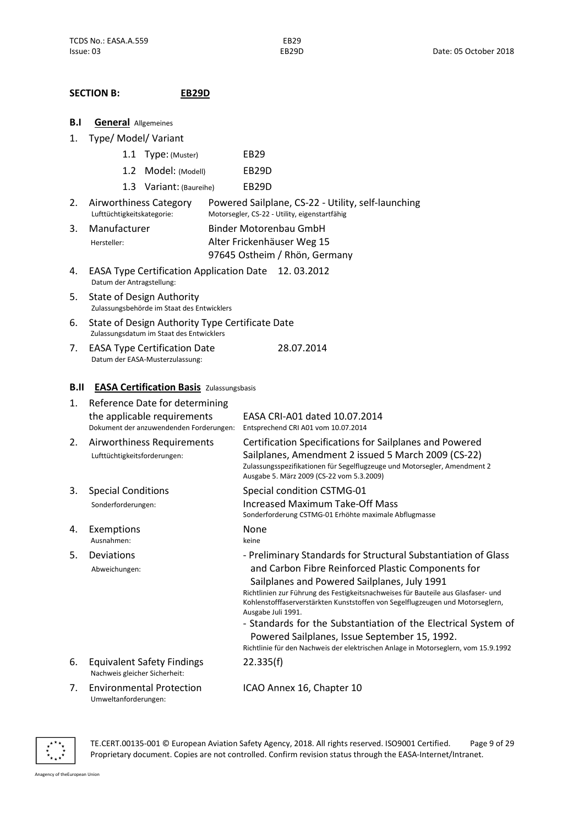# SECTION B: EB29D

| B.I  | <b>General</b> Allgemeines    |                                                                                             |  |                                                                                                                                                                                                                                                                                                                                                                                                                                                                                                                                                                            |  |  |
|------|-------------------------------|---------------------------------------------------------------------------------------------|--|----------------------------------------------------------------------------------------------------------------------------------------------------------------------------------------------------------------------------------------------------------------------------------------------------------------------------------------------------------------------------------------------------------------------------------------------------------------------------------------------------------------------------------------------------------------------------|--|--|
| 1.   | Type/ Model/ Variant          |                                                                                             |  |                                                                                                                                                                                                                                                                                                                                                                                                                                                                                                                                                                            |  |  |
|      |                               | 1.1 Type: (Muster)                                                                          |  | EB29                                                                                                                                                                                                                                                                                                                                                                                                                                                                                                                                                                       |  |  |
|      | $1.2^{\circ}$                 | Model: (Modell)                                                                             |  | EB29D                                                                                                                                                                                                                                                                                                                                                                                                                                                                                                                                                                      |  |  |
|      |                               | 1.3 Variant: (Baureihe)                                                                     |  | EB29D                                                                                                                                                                                                                                                                                                                                                                                                                                                                                                                                                                      |  |  |
| 2.   | Lufttüchtigkeitskategorie:    | Airworthiness Category                                                                      |  | Powered Sailplane, CS-22 - Utility, self-launching<br>Motorsegler, CS-22 - Utility, eigenstartfähig                                                                                                                                                                                                                                                                                                                                                                                                                                                                        |  |  |
| 3.   | Manufacturer<br>Hersteller:   |                                                                                             |  | Binder Motorenbau GmbH<br>Alter Frickenhäuser Weg 15<br>97645 Ostheim / Rhön, Germany                                                                                                                                                                                                                                                                                                                                                                                                                                                                                      |  |  |
| 4.   | Datum der Antragstellung:     |                                                                                             |  | EASA Type Certification Application Date 12.03.2012                                                                                                                                                                                                                                                                                                                                                                                                                                                                                                                        |  |  |
| 5.   |                               | <b>State of Design Authority</b><br>Zulassungsbehörde im Staat des Entwicklers              |  |                                                                                                                                                                                                                                                                                                                                                                                                                                                                                                                                                                            |  |  |
| 6.   |                               | State of Design Authority Type Certificate Date<br>Zulassungsdatum im Staat des Entwicklers |  |                                                                                                                                                                                                                                                                                                                                                                                                                                                                                                                                                                            |  |  |
| 7.   |                               | <b>EASA Type Certification Date</b><br>Datum der EASA-Musterzulassung:                      |  | 28.07.2014                                                                                                                                                                                                                                                                                                                                                                                                                                                                                                                                                                 |  |  |
| B.II |                               | <b>EASA Certification Basis</b> Zulassungsbasis                                             |  |                                                                                                                                                                                                                                                                                                                                                                                                                                                                                                                                                                            |  |  |
| 1.   |                               | Reference Date for determining                                                              |  |                                                                                                                                                                                                                                                                                                                                                                                                                                                                                                                                                                            |  |  |
|      |                               | the applicable requirements<br>Dokument der anzuwendenden Forderungen:                      |  | EASA CRI-A01 dated 10.07.2014<br>Entsprechend CRI A01 vom 10.07.2014                                                                                                                                                                                                                                                                                                                                                                                                                                                                                                       |  |  |
| 2.   |                               | Airworthiness Requirements                                                                  |  | Certification Specifications for Sailplanes and Powered                                                                                                                                                                                                                                                                                                                                                                                                                                                                                                                    |  |  |
|      | Lufttüchtigkeitsforderungen:  |                                                                                             |  | Sailplanes, Amendment 2 issued 5 March 2009 (CS-22)<br>Zulassungsspezifikationen für Segelflugzeuge und Motorsegler, Amendment 2<br>Ausgabe 5. März 2009 (CS-22 vom 5.3.2009)                                                                                                                                                                                                                                                                                                                                                                                              |  |  |
| 3.   | <b>Special Conditions</b>     |                                                                                             |  | Special condition CSTMG-01                                                                                                                                                                                                                                                                                                                                                                                                                                                                                                                                                 |  |  |
|      | Sonderforderungen:            |                                                                                             |  | <b>Increased Maximum Take-Off Mass</b><br>Sonderforderung CSTMG-01 Erhöhte maximale Abflugmasse                                                                                                                                                                                                                                                                                                                                                                                                                                                                            |  |  |
| 4.   | Exemptions<br>Ausnahmen:      |                                                                                             |  | None<br>keine                                                                                                                                                                                                                                                                                                                                                                                                                                                                                                                                                              |  |  |
| 5.   | Deviations<br>Abweichungen:   |                                                                                             |  | - Preliminary Standards for Structural Substantiation of Glass<br>and Carbon Fibre Reinforced Plastic Components for<br>Sailplanes and Powered Sailplanes, July 1991<br>Richtlinien zur Führung des Festigkeitsnachweises für Bauteile aus Glasfaser- und<br>Kohlenstofffaserverstärkten Kunststoffen von Segelflugzeugen und Motorseglern,<br>Ausgabe Juli 1991.<br>- Standards for the Substantiation of the Electrical System of<br>Powered Sailplanes, Issue September 15, 1992.<br>Richtlinie für den Nachweis der elektrischen Anlage in Motorseglern, vom 15.9.1992 |  |  |
| 6.   | Nachweis gleicher Sicherheit: | <b>Equivalent Safety Findings</b>                                                           |  | 22.335(f)                                                                                                                                                                                                                                                                                                                                                                                                                                                                                                                                                                  |  |  |
| 7.   | Umweltanforderungen:          | <b>Environmental Protection</b>                                                             |  | ICAO Annex 16, Chapter 10                                                                                                                                                                                                                                                                                                                                                                                                                                                                                                                                                  |  |  |



TE.CERT.00135-001 © European Aviation Safety Agency, 2018. All rights reserved. ISO9001 Certified. Page 9 of 29 Proprietary document. Copies are not controlled. Confirm revision status through the EASA-Internet/Intranet.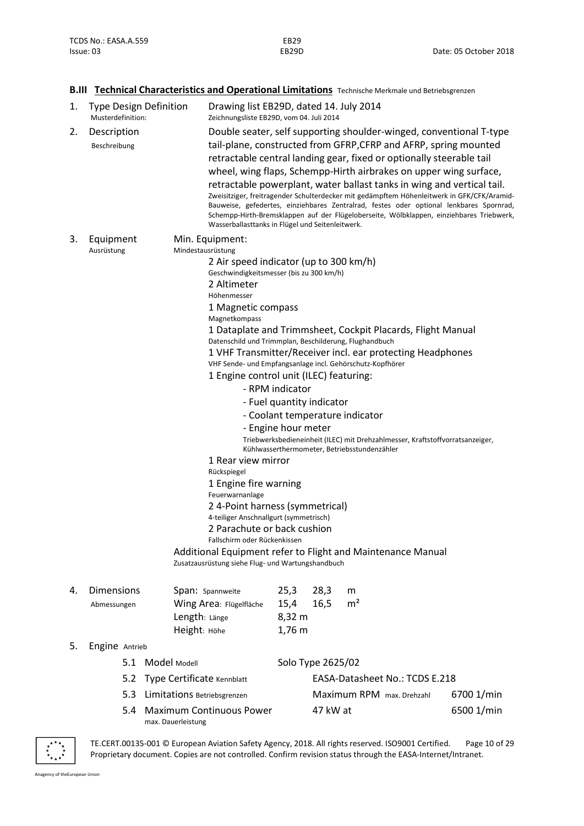## B.III Technical Characteristics and Operational Limitations Technische Merkmale und Betriebsgrenzen

| 1. | <b>Type Design Definition</b><br>Musterdefinition: |                                                                                                                                                                            | Drawing list EB29D, dated 14. July 2014<br>Zeichnungsliste EB29D, vom 04. Juli 2014                                                                                                                                                                                                                                                                                                                                                                                                                                                                                                                                                                                                                                                                                                                                                                                                                                                                             |                                                                                                                                                                                                                                                                                                                                                                                                                                                                                                                                                                                                                                                     |            |  |  |  |  |
|----|----------------------------------------------------|----------------------------------------------------------------------------------------------------------------------------------------------------------------------------|-----------------------------------------------------------------------------------------------------------------------------------------------------------------------------------------------------------------------------------------------------------------------------------------------------------------------------------------------------------------------------------------------------------------------------------------------------------------------------------------------------------------------------------------------------------------------------------------------------------------------------------------------------------------------------------------------------------------------------------------------------------------------------------------------------------------------------------------------------------------------------------------------------------------------------------------------------------------|-----------------------------------------------------------------------------------------------------------------------------------------------------------------------------------------------------------------------------------------------------------------------------------------------------------------------------------------------------------------------------------------------------------------------------------------------------------------------------------------------------------------------------------------------------------------------------------------------------------------------------------------------------|------------|--|--|--|--|
| 2. | Description<br>Beschreibung                        |                                                                                                                                                                            |                                                                                                                                                                                                                                                                                                                                                                                                                                                                                                                                                                                                                                                                                                                                                                                                                                                                                                                                                                 | Double seater, self supporting shoulder-winged, conventional T-type<br>tail-plane, constructed from GFRP, CFRP and AFRP, spring mounted<br>retractable central landing gear, fixed or optionally steerable tail<br>wheel, wing flaps, Schempp-Hirth airbrakes on upper wing surface,<br>retractable powerplant, water ballast tanks in wing and vertical tail.<br>Zweisitziger, freitragender Schulterdecker mit gedämpftem Höhenleitwerk in GFK/CFK/Aramid-<br>Bauweise, gefedertes, einziehbares Zentralrad, festes oder optional lenkbares Spornrad,<br>Schempp-Hirth-Bremsklappen auf der Flügeloberseite, Wölbklappen, einziehbares Triebwerk, |            |  |  |  |  |
| 3. | Equipment<br>Ausrüstung                            | Min. Equipment:<br>Mindestausrüstung<br>2 Altimeter<br>Höhenmesser<br>Magnetkompass<br>Rückspiegel<br>Feuerwarnanlage<br>Zusatzausrüstung siehe Flug- und Wartungshandbuch | Wasserballasttanks in Flügel und Seitenleitwerk.<br>2 Air speed indicator (up to 300 km/h)<br>Geschwindigkeitsmesser (bis zu 300 km/h)<br>1 Magnetic compass<br>1 Dataplate and Trimmsheet, Cockpit Placards, Flight Manual<br>Datenschild und Trimmplan, Beschilderung, Flughandbuch<br>1 VHF Transmitter/Receiver incl. ear protecting Headphones<br>VHF Sende- und Empfangsanlage incl. Gehörschutz-Kopfhörer<br>1 Engine control unit (ILEC) featuring:<br>- RPM indicator<br>- Fuel quantity indicator<br>- Coolant temperature indicator<br>- Engine hour meter<br>Triebwerksbedieneinheit (ILEC) mit Drehzahlmesser, Kraftstoffvorratsanzeiger,<br>Kühlwasserthermometer, Betriebsstundenzähler<br>1 Rear view mirror<br>1 Engine fire warning<br>24-Point harness (symmetrical)<br>4-teiliger Anschnallgurt (symmetrisch)<br>2 Parachute or back cushion<br>Fallschirm oder Rückenkissen<br>Additional Equipment refer to Flight and Maintenance Manual |                                                                                                                                                                                                                                                                                                                                                                                                                                                                                                                                                                                                                                                     |            |  |  |  |  |
| 4. | <b>Dimensions</b><br>Abmessungen                   | Span: Spannweite<br>Wing Area: Flügelfläche<br>Length: Länge<br>Height: Höhe                                                                                               | 28,3<br>25,3<br>16,5<br>15,4<br>8,32 m<br>$1,76 \; m$                                                                                                                                                                                                                                                                                                                                                                                                                                                                                                                                                                                                                                                                                                                                                                                                                                                                                                           | m<br>m <sup>2</sup>                                                                                                                                                                                                                                                                                                                                                                                                                                                                                                                                                                                                                                 |            |  |  |  |  |
| 5. | Engine Antrieb                                     |                                                                                                                                                                            |                                                                                                                                                                                                                                                                                                                                                                                                                                                                                                                                                                                                                                                                                                                                                                                                                                                                                                                                                                 |                                                                                                                                                                                                                                                                                                                                                                                                                                                                                                                                                                                                                                                     |            |  |  |  |  |
|    | 5.1                                                | Model Modell                                                                                                                                                               |                                                                                                                                                                                                                                                                                                                                                                                                                                                                                                                                                                                                                                                                                                                                                                                                                                                                                                                                                                 | Solo Type 2625/02                                                                                                                                                                                                                                                                                                                                                                                                                                                                                                                                                                                                                                   |            |  |  |  |  |
|    | 5.2                                                | Type Certificate Kennblatt                                                                                                                                                 |                                                                                                                                                                                                                                                                                                                                                                                                                                                                                                                                                                                                                                                                                                                                                                                                                                                                                                                                                                 | EASA-Datasheet No.: TCDS E.218                                                                                                                                                                                                                                                                                                                                                                                                                                                                                                                                                                                                                      |            |  |  |  |  |
|    | 5.3                                                | Limitations Betriebsgrenzen                                                                                                                                                |                                                                                                                                                                                                                                                                                                                                                                                                                                                                                                                                                                                                                                                                                                                                                                                                                                                                                                                                                                 | Maximum RPM max. Drehzahl<br>6700 1/min                                                                                                                                                                                                                                                                                                                                                                                                                                                                                                                                                                                                             |            |  |  |  |  |
|    | 5.4                                                | <b>Maximum Continuous Power</b>                                                                                                                                            | 47 kW at                                                                                                                                                                                                                                                                                                                                                                                                                                                                                                                                                                                                                                                                                                                                                                                                                                                                                                                                                        |                                                                                                                                                                                                                                                                                                                                                                                                                                                                                                                                                                                                                                                     | 6500 1/min |  |  |  |  |



TE.CERT.00135-001 © European Aviation Safety Agency, 2018. All rights reserved. ISO9001 Certified. Page 10 of 29 Proprietary document. Copies are not controlled. Confirm revision status through the EASA-Internet/Intranet.

max. Dauerleistung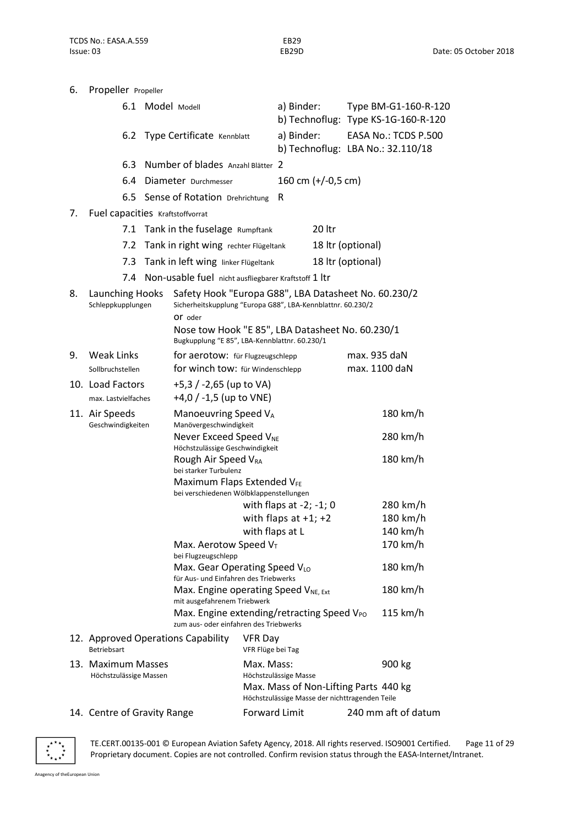| 6. | Propeller Propeller |  |
|----|---------------------|--|
|----|---------------------|--|

|    |                                                                                                                                                                                                                            |  | 6.1 Model Modell                                                                                 |                              | a) Binder:                                                                                                       |                     |                   | Type BM-G1-160-R-120<br>b) Technoflug: Type KS-1G-160-R-120 |
|----|----------------------------------------------------------------------------------------------------------------------------------------------------------------------------------------------------------------------------|--|--------------------------------------------------------------------------------------------------|------------------------------|------------------------------------------------------------------------------------------------------------------|---------------------|-------------------|-------------------------------------------------------------|
|    | 6.2                                                                                                                                                                                                                        |  | Type Certificate Kennblatt                                                                       |                              | a) Binder:                                                                                                       |                     |                   | EASA No.: TCDS P.500<br>b) Technoflug: LBA No.: 32.110/18   |
|    | 6.3                                                                                                                                                                                                                        |  | Number of blades Anzahl Blätter 2                                                                |                              |                                                                                                                  |                     |                   |                                                             |
|    | 6.4                                                                                                                                                                                                                        |  | Diameter Durchmesser                                                                             |                              | 160 cm (+/-0,5 cm)                                                                                               |                     |                   |                                                             |
|    | 6.5                                                                                                                                                                                                                        |  | Sense of Rotation Drehrichtung                                                                   |                              | R                                                                                                                |                     |                   |                                                             |
| 7. | Fuel capacities Kraftstoffvorrat                                                                                                                                                                                           |  |                                                                                                  |                              |                                                                                                                  |                     |                   |                                                             |
|    | 7.1                                                                                                                                                                                                                        |  | Tank in the fuselage Rumpftank                                                                   |                              |                                                                                                                  | 20 ltr              |                   |                                                             |
|    | 7.2                                                                                                                                                                                                                        |  | Tank in right wing rechter Flügeltank                                                            |                              |                                                                                                                  |                     | 18 ltr (optional) |                                                             |
|    | 7.3                                                                                                                                                                                                                        |  | Tank in left wing linker Flügeltank                                                              |                              |                                                                                                                  |                     | 18 ltr (optional) |                                                             |
|    | 7.4                                                                                                                                                                                                                        |  | Non-usable fuel nicht ausfliegbarer Kraftstoff 1 ltr                                             |                              |                                                                                                                  |                     |                   |                                                             |
| 8. | Launching Hooks<br>Safety Hook "Europa G88", LBA Datasheet No. 60.230/2<br>Sicherheitskupplung "Europa G88", LBA-Kennblattnr. 60.230/2<br>Schleppkupplungen<br>Or oder<br>Nose tow Hook "E 85", LBA Datasheet No. 60.230/1 |  |                                                                                                  |                              | Bugkupplung "E 85", LBA-Kennblattnr. 60.230/1                                                                    |                     |                   |                                                             |
| 9. | Weak Links                                                                                                                                                                                                                 |  | for aerotow: für Flugzeugschlepp                                                                 |                              |                                                                                                                  |                     | max. 935 daN      |                                                             |
|    | Sollbruchstellen                                                                                                                                                                                                           |  | for winch tow: für Windenschlepp                                                                 |                              |                                                                                                                  |                     | max. 1100 daN     |                                                             |
|    | 10. Load Factors                                                                                                                                                                                                           |  | +5,3 $/$ -2,65 (up to VA)                                                                        |                              |                                                                                                                  |                     |                   |                                                             |
|    | max. Lastvielfaches                                                                                                                                                                                                        |  | +4,0 $/$ -1,5 (up to VNE)                                                                        |                              |                                                                                                                  |                     |                   |                                                             |
|    | 11. Air Speeds<br>Geschwindigkeiten                                                                                                                                                                                        |  | Manoeuvring Speed VA<br>Manövergeschwindigkeit                                                   |                              |                                                                                                                  |                     | 180 km/h          |                                                             |
|    |                                                                                                                                                                                                                            |  | Never Exceed Speed V <sub>NE</sub><br>Höchstzulässige Geschwindigkeit                            |                              |                                                                                                                  |                     |                   | 280 km/h                                                    |
|    |                                                                                                                                                                                                                            |  | Rough Air Speed VRA<br>bei starker Turbulenz                                                     |                              |                                                                                                                  |                     |                   | 180 km/h                                                    |
|    |                                                                                                                                                                                                                            |  | Maximum Flaps Extended VFE<br>bei verschiedenen Wölbklappenstellungen                            |                              |                                                                                                                  |                     |                   |                                                             |
|    |                                                                                                                                                                                                                            |  |                                                                                                  |                              | with flaps at $-2$ ; $-1$ ; 0                                                                                    |                     |                   | 280 km/h                                                    |
|    |                                                                                                                                                                                                                            |  |                                                                                                  |                              | with flaps at $+1$ ; $+2$                                                                                        |                     |                   | 180 km/h                                                    |
|    |                                                                                                                                                                                                                            |  |                                                                                                  | with flaps at L              |                                                                                                                  |                     |                   | 140 km/h                                                    |
|    |                                                                                                                                                                                                                            |  | Max. Aerotow Speed VT<br>bei Flugzeugschlepp                                                     |                              |                                                                                                                  |                     |                   | 170 km/h                                                    |
|    |                                                                                                                                                                                                                            |  | Max. Gear Operating Speed VLO<br>für Aus- und Einfahren des Triebwerks                           |                              |                                                                                                                  |                     |                   | 180 km/h                                                    |
|    |                                                                                                                                                                                                                            |  | Max. Engine operating Speed V <sub>NE, Ext</sub><br>mit ausgefahrenem Triebwerk                  |                              |                                                                                                                  |                     |                   | 180 km/h                                                    |
|    |                                                                                                                                                                                                                            |  | Max. Engine extending/retracting Speed V <sub>PO</sub><br>zum aus- oder einfahren des Triebwerks |                              |                                                                                                                  |                     |                   | $115$ km/h                                                  |
|    | Betriebsart                                                                                                                                                                                                                |  | 12. Approved Operations Capability                                                               | VFR Day<br>VFR Flüge bei Tag |                                                                                                                  |                     |                   |                                                             |
|    | 13. Maximum Masses                                                                                                                                                                                                         |  |                                                                                                  | Max. Mass:                   |                                                                                                                  |                     |                   | 900 kg                                                      |
|    | Höchstzulässige Massen                                                                                                                                                                                                     |  |                                                                                                  |                              | Höchstzulässige Masse<br>Max. Mass of Non-Lifting Parts 440 kg<br>Höchstzulässige Masse der nichttragenden Teile |                     |                   |                                                             |
|    | 14. Centre of Gravity Range                                                                                                                                                                                                |  |                                                                                                  | <b>Forward Limit</b>         |                                                                                                                  | 240 mm aft of datum |                   |                                                             |



TE.CERT.00135-001 © European Aviation Safety Agency, 2018. All rights reserved. ISO9001 Certified. Page 11 of 29 Proprietary document. Copies are not controlled. Confirm revision status through the EASA-Internet/Intranet.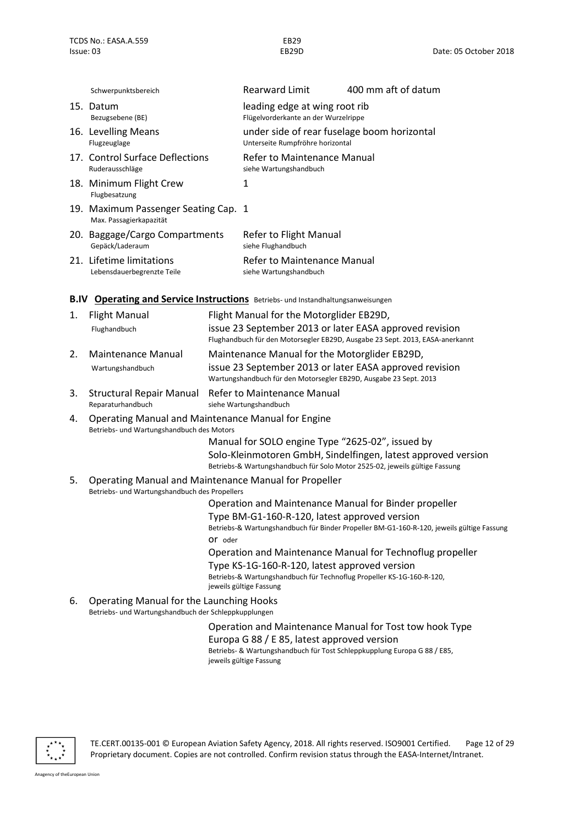| Schwerpunktsbereich                                             | Rearward Limit                                                                  | 400 mm aft of datum |  |  |
|-----------------------------------------------------------------|---------------------------------------------------------------------------------|---------------------|--|--|
| 15. Datum<br>Bezugsebene (BE)                                   | leading edge at wing root rib<br>Flügelvorderkante an der Wurzelrippe           |                     |  |  |
| 16. Levelling Means<br>Flugzeuglage                             | under side of rear fuselage boom horizontal<br>Unterseite Rumpfröhre horizontal |                     |  |  |
| 17. Control Surface Deflections<br>Ruderausschläge              | Refer to Maintenance Manual<br>siehe Wartungshandbuch                           |                     |  |  |
| 18. Minimum Flight Crew<br>Flugbesatzung                        | 1                                                                               |                     |  |  |
| 19. Maximum Passenger Seating Cap. 1<br>Max. Passagierkapazität |                                                                                 |                     |  |  |
| 20. Baggage/Cargo Compartments<br>Gepäck/Laderaum               | Refer to Flight Manual<br>siehe Flughandbuch                                    |                     |  |  |
| 21. Lifetime limitations<br>Lebensdauerbegrenzte Teile          | Refer to Maintenance Manual<br>siehe Wartungshandbuch                           |                     |  |  |

#### B.IV Operating and Service Instructions Betriebs- und Instandhaltungsanweisungen

| 1. | <b>Flight Manual</b><br>Flughandbuch                                                             | Flight Manual for the Motorglider EB29D,<br>issue 23 September 2013 or later EASA approved revision<br>Flughandbuch für den Motorsegler EB29D, Ausgabe 23 Sept. 2013, EASA-anerkannt                                                                                                                                                                                                                                                                                                             |
|----|--------------------------------------------------------------------------------------------------|--------------------------------------------------------------------------------------------------------------------------------------------------------------------------------------------------------------------------------------------------------------------------------------------------------------------------------------------------------------------------------------------------------------------------------------------------------------------------------------------------|
| 2. | Maintenance Manual<br>Wartungshandbuch                                                           | Maintenance Manual for the Motorglider EB29D,<br>issue 23 September 2013 or later EASA approved revision<br>Wartungshandbuch für den Motorsegler EB29D, Ausgabe 23 Sept. 2013                                                                                                                                                                                                                                                                                                                    |
| 3. | <b>Structural Repair Manual</b><br>Reparaturhandbuch                                             | Refer to Maintenance Manual<br>siehe Wartungshandbuch                                                                                                                                                                                                                                                                                                                                                                                                                                            |
| 4. | Betriebs- und Wartungshandbuch des Motors                                                        | <b>Operating Manual and Maintenance Manual for Engine</b><br>Manual for SOLO engine Type "2625-02", issued by<br>Solo-Kleinmotoren GmbH, Sindelfingen, latest approved version<br>Betriebs-& Wartungshandbuch für Solo Motor 2525-02, jeweils gültige Fassung                                                                                                                                                                                                                                    |
| 5. | Betriebs- und Wartungshandbuch des Propellers                                                    | <b>Operating Manual and Maintenance Manual for Propeller</b><br>Operation and Maintenance Manual for Binder propeller<br>Type BM-G1-160-R-120, latest approved version<br>Betriebs-& Wartungshandbuch für Binder Propeller BM-G1-160-R-120, jeweils gültige Fassung<br>Or oder<br>Operation and Maintenance Manual for Technoflug propeller<br>Type KS-1G-160-R-120, latest approved version<br>Betriebs-& Wartungshandbuch für Technoflug Propeller KS-1G-160-R-120,<br>jeweils gültige Fassung |
| 6. | Operating Manual for the Launching Hooks<br>Betriebs- und Wartungshandbuch der Schleppkupplungen |                                                                                                                                                                                                                                                                                                                                                                                                                                                                                                  |
|    |                                                                                                  | Operation and Maintenance Manual for Tost tow hook Type<br>Europa G 88 / E 85, latest approved version                                                                                                                                                                                                                                                                                                                                                                                           |

 Betriebs- & Wartungshandbuch für Tost Schleppkupplung Europa G 88 / E85, jeweils gültige Fassung



TE.CERT.00135-001 © European Aviation Safety Agency, 2018. All rights reserved. ISO9001 Certified. Page 12 of 29 Proprietary document. Copies are not controlled. Confirm revision status through the EASA-Internet/Intranet.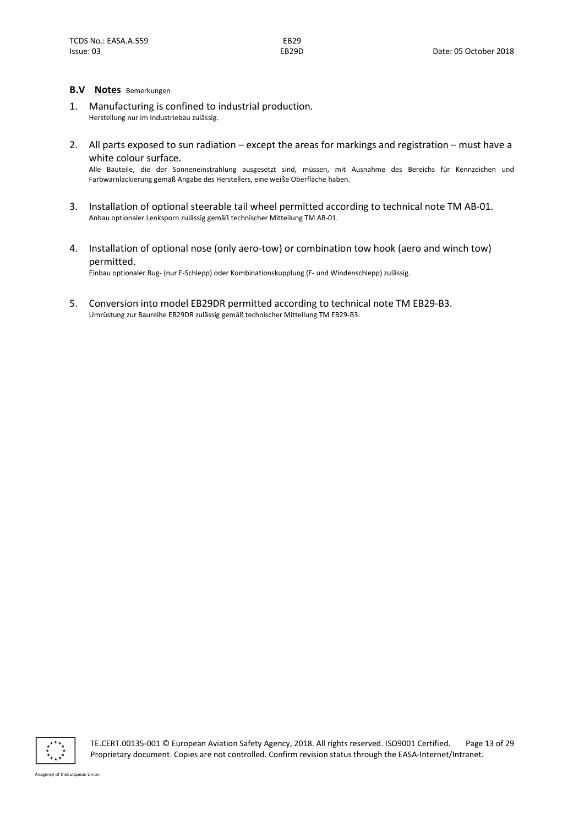#### **B.V** Notes Bemerkungen

- 1. Manufacturing is confined to industrial production. Herstellung nur im Industriebau zulässig.
- 2. All parts exposed to sun radiation except the areas for markings and registration must have a white colour surface.

Alle Bauteile, die der Sonneneinstrahlung ausgesetzt sind, müssen, mit Ausnahme des Bereichs für Kennzeichen und Farbwarnlackierung gemäß Angabe des Herstellers, eine weiße Oberfläche haben.

- 3. Installation of optional steerable tail wheel permitted according to technical note TM AB-01. Anbau optionaler Lenksporn zulässig gemäß technischer Mitteilung TM AB-01.
- 4. Installation of optional nose (only aero-tow) or combination tow hook (aero and winch tow) permitted.

Einbau optionaler Bug- (nur F-Schlepp) oder Kombinationskupplung (F- und Windenschlepp) zulässig.

5. Conversion into model EB29DR permitted according to technical note TM EB29-B3. Umrüstung zur Baureihe EB29DR zulässig gemäß technischer Mitteilung TM EB29-B3.



TE.CERT.00135-001 © European Aviation Safety Agency, 2018. All rights reserved. ISO9001 Certified. Page 13 of 29 Proprietary document. Copies are not controlled. Confirm revision status through the EASA-Internet/Intranet.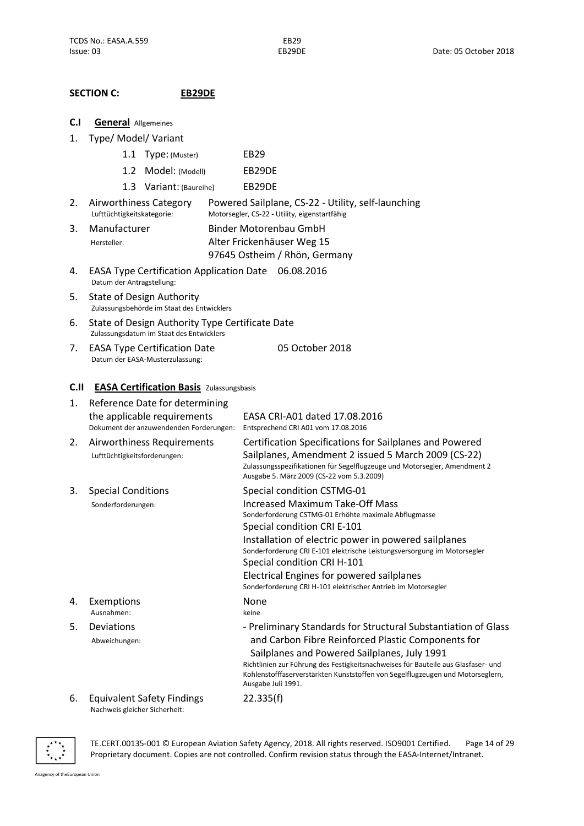# SECTION C: EB29DE

| C.I  | <b>General</b> Allgemeines                           |                                                                                             |  |                                                                                                                                                                                                                                                                                                                                                                   |  |  |
|------|------------------------------------------------------|---------------------------------------------------------------------------------------------|--|-------------------------------------------------------------------------------------------------------------------------------------------------------------------------------------------------------------------------------------------------------------------------------------------------------------------------------------------------------------------|--|--|
| 1.   | Type/ Model/ Variant                                 |                                                                                             |  |                                                                                                                                                                                                                                                                                                                                                                   |  |  |
|      |                                                      | 1.1 Type: (Muster)                                                                          |  | EB29                                                                                                                                                                                                                                                                                                                                                              |  |  |
|      |                                                      | 1.2 Model: (Modell)                                                                         |  | EB29DE                                                                                                                                                                                                                                                                                                                                                            |  |  |
|      | 1.3                                                  | Variant: (Baureihe)                                                                         |  | EB29DE                                                                                                                                                                                                                                                                                                                                                            |  |  |
| 2.   | Airworthiness Category<br>Lufttüchtigkeitskategorie: |                                                                                             |  | Powered Sailplane, CS-22 - Utility, self-launching<br>Motorsegler, CS-22 - Utility, eigenstartfähig                                                                                                                                                                                                                                                               |  |  |
| 3.   | Manufacturer<br>Hersteller:                          |                                                                                             |  | Binder Motorenbau GmbH<br>Alter Frickenhäuser Weg 15<br>97645 Ostheim / Rhön, Germany                                                                                                                                                                                                                                                                             |  |  |
| 4.   | Datum der Antragstellung:                            |                                                                                             |  | EASA Type Certification Application Date 06.08.2016                                                                                                                                                                                                                                                                                                               |  |  |
| 5.   |                                                      | <b>State of Design Authority</b><br>Zulassungsbehörde im Staat des Entwicklers              |  |                                                                                                                                                                                                                                                                                                                                                                   |  |  |
| 6.   |                                                      | State of Design Authority Type Certificate Date<br>Zulassungsdatum im Staat des Entwicklers |  |                                                                                                                                                                                                                                                                                                                                                                   |  |  |
| 7.   |                                                      | <b>EASA Type Certification Date</b><br>Datum der EASA-Musterzulassung:                      |  | 05 October 2018                                                                                                                                                                                                                                                                                                                                                   |  |  |
| C.II |                                                      | <b>EASA Certification Basis Zulassungsbasis</b>                                             |  |                                                                                                                                                                                                                                                                                                                                                                   |  |  |
| 1.   |                                                      | Reference Date for determining                                                              |  |                                                                                                                                                                                                                                                                                                                                                                   |  |  |
|      |                                                      | the applicable requirements<br>Dokument der anzuwendenden Forderungen:                      |  | EASA CRI-A01 dated 17.08.2016<br>Entsprechend CRI A01 vom 17.08.2016                                                                                                                                                                                                                                                                                              |  |  |
| 2.   | Lufttüchtigkeitsforderungen:                         | Airworthiness Requirements                                                                  |  | Certification Specifications for Sailplanes and Powered<br>Sailplanes, Amendment 2 issued 5 March 2009 (CS-22)<br>Zulassungsspezifikationen für Segelflugzeuge und Motorsegler, Amendment 2<br>Ausgabe 5. März 2009 (CS-22 vom 5.3.2009)                                                                                                                          |  |  |
| 3.   | <b>Special Conditions</b>                            |                                                                                             |  | Special condition CSTMG-01                                                                                                                                                                                                                                                                                                                                        |  |  |
|      | Sonderforderungen:                                   |                                                                                             |  | <b>Increased Maximum Take-Off Mass</b><br>Sonderforderung CSTMG-01 Erhöhte maximale Abflugmasse                                                                                                                                                                                                                                                                   |  |  |
|      |                                                      |                                                                                             |  | Special condition CRI E-101<br>Installation of electric power in powered sailplanes<br>Sonderforderung CRI E-101 elektrische Leistungsversorgung im Motorsegler<br>Special condition CRI H-101<br>Electrical Engines for powered sailplanes<br>Sonderforderung CRI H-101 elektrischer Antrieb im Motorsegler                                                      |  |  |
| 4.   | Exemptions<br>Ausnahmen:                             |                                                                                             |  | None<br>keine                                                                                                                                                                                                                                                                                                                                                     |  |  |
| 5.   | Deviations<br>Abweichungen:                          |                                                                                             |  | - Preliminary Standards for Structural Substantiation of Glass<br>and Carbon Fibre Reinforced Plastic Components for<br>Sailplanes and Powered Sailplanes, July 1991<br>Richtlinien zur Führung des Festigkeitsnachweises für Bauteile aus Glasfaser- und<br>Kohlenstofffaserverstärkten Kunststoffen von Segelflugzeugen und Motorseglern,<br>Ausgabe Juli 1991. |  |  |
|      |                                                      |                                                                                             |  |                                                                                                                                                                                                                                                                                                                                                                   |  |  |

6. Equivalent Safety Findings 22.335(f) Nachweis gleicher Sicherheit:



TE.CERT.00135-001 © European Aviation Safety Agency, 2018. All rights reserved. ISO9001 Certified. Page 14 of 29 Proprietary document. Copies are not controlled. Confirm revision status through the EASA-Internet/Intranet.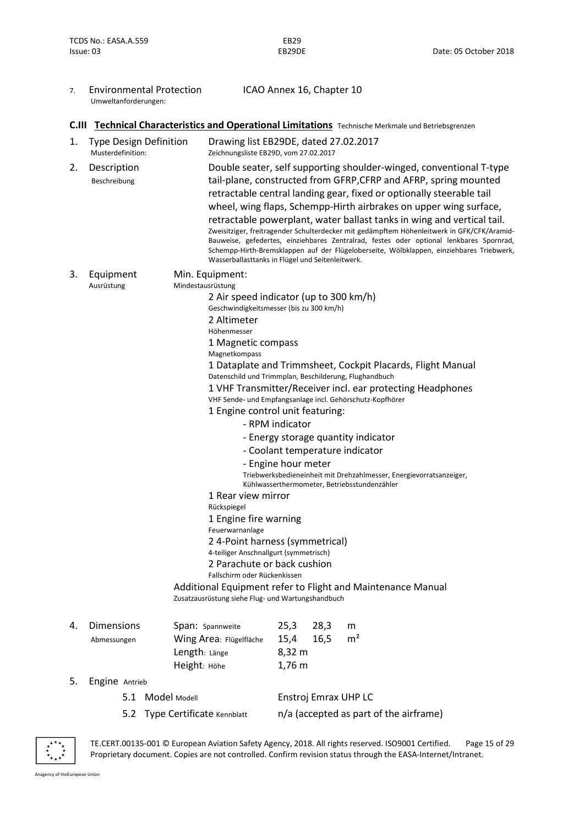| 7.    | Umweltanforderungen:                               | <b>Environmental Protection</b>                                                                                                                                                                                                                                                 | ICAO Annex 16, Chapter 10                                                                                                                                                                                                                                                                                                                                                                                                                                                                                                                                                                                                                                                                                                                                                                       |  |  |  |  |
|-------|----------------------------------------------------|---------------------------------------------------------------------------------------------------------------------------------------------------------------------------------------------------------------------------------------------------------------------------------|-------------------------------------------------------------------------------------------------------------------------------------------------------------------------------------------------------------------------------------------------------------------------------------------------------------------------------------------------------------------------------------------------------------------------------------------------------------------------------------------------------------------------------------------------------------------------------------------------------------------------------------------------------------------------------------------------------------------------------------------------------------------------------------------------|--|--|--|--|
| C.III |                                                    |                                                                                                                                                                                                                                                                                 | Technical Characteristics and Operational Limitations Technische Merkmale und Betriebsgrenzen                                                                                                                                                                                                                                                                                                                                                                                                                                                                                                                                                                                                                                                                                                   |  |  |  |  |
| 1.    | <b>Type Design Definition</b><br>Musterdefinition: |                                                                                                                                                                                                                                                                                 | Drawing list EB29DE, dated 27.02.2017<br>Zeichnungsliste EB29D, vom 27.02.2017                                                                                                                                                                                                                                                                                                                                                                                                                                                                                                                                                                                                                                                                                                                  |  |  |  |  |
| 2.    | Description<br>Beschreibung                        |                                                                                                                                                                                                                                                                                 | Double seater, self supporting shoulder-winged, conventional T-type<br>tail-plane, constructed from GFRP, CFRP and AFRP, spring mounted<br>retractable central landing gear, fixed or optionally steerable tail<br>wheel, wing flaps, Schempp-Hirth airbrakes on upper wing surface,<br>retractable powerplant, water ballast tanks in wing and vertical tail.<br>Zweisitziger, freitragender Schulterdecker mit gedämpftem Höhenleitwerk in GFK/CFK/Aramid-<br>Bauweise, gefedertes, einziehbares Zentralrad, festes oder optional lenkbares Spornrad,<br>Schempp-Hirth-Bremsklappen auf der Flügeloberseite, Wölbklappen, einziehbares Triebwerk,<br>Wasserballasttanks in Flügel und Seitenleitwerk.                                                                                         |  |  |  |  |
| 3.    | Equipment<br>Ausrüstung                            | Min. Equipment:<br>Mindestausrüstung<br>2 Altimeter<br>Höhenmesser<br>1 Magnetic compass<br>Magnetkompass<br>1 Rear view mirror<br>Rückspiegel<br>1 Engine fire warning<br>Feuerwarnanlage<br>Fallschirm oder Rückenkissen<br>Zusatzausrüstung siehe Flug- und Wartungshandbuch | 2 Air speed indicator (up to 300 km/h)<br>Geschwindigkeitsmesser (bis zu 300 km/h)<br>1 Dataplate and Trimmsheet, Cockpit Placards, Flight Manual<br>Datenschild und Trimmplan, Beschilderung, Flughandbuch<br>1 VHF Transmitter/Receiver incl. ear protecting Headphones<br>VHF Sende- und Empfangsanlage incl. Gehörschutz-Kopfhörer<br>1 Engine control unit featuring:<br>- RPM indicator<br>- Energy storage quantity indicator<br>- Coolant temperature indicator<br>- Engine hour meter<br>Triebwerksbedieneinheit mit Drehzahlmesser, Energievorratsanzeiger,<br>Kühlwasserthermometer, Betriebsstundenzähler<br>24-Point harness (symmetrical)<br>4-teiliger Anschnallgurt (symmetrisch)<br>2 Parachute or back cushion<br>Additional Equipment refer to Flight and Maintenance Manual |  |  |  |  |
| 4.    | <b>Dimensions</b><br>Abmessungen                   | Span: Spannweite<br>Wing Area: Flügelfläche<br>Length: Länge<br>Height: Höhe                                                                                                                                                                                                    | 28,3<br>25,3<br>m<br>16,5<br>m <sup>2</sup><br>15,4<br>8,32 m<br>$1,76 \; m$                                                                                                                                                                                                                                                                                                                                                                                                                                                                                                                                                                                                                                                                                                                    |  |  |  |  |
| 5.    | Engine Antrieb                                     |                                                                                                                                                                                                                                                                                 |                                                                                                                                                                                                                                                                                                                                                                                                                                                                                                                                                                                                                                                                                                                                                                                                 |  |  |  |  |
|       | 5.1                                                | Model Modell                                                                                                                                                                                                                                                                    | Enstroj Emrax UHP LC                                                                                                                                                                                                                                                                                                                                                                                                                                                                                                                                                                                                                                                                                                                                                                            |  |  |  |  |
|       | 5.2                                                | Type Certificate Kennblatt                                                                                                                                                                                                                                                      | n/a (accepted as part of the airframe)                                                                                                                                                                                                                                                                                                                                                                                                                                                                                                                                                                                                                                                                                                                                                          |  |  |  |  |

 $*_{***}$ 

TE.CERT.00135-001 © European Aviation Safety Agency, 2018. All rights reserved. ISO9001 Certified. Page 15 of 29 Proprietary document. Copies are not controlled. Confirm revision status through the EASA-Internet/Intranet.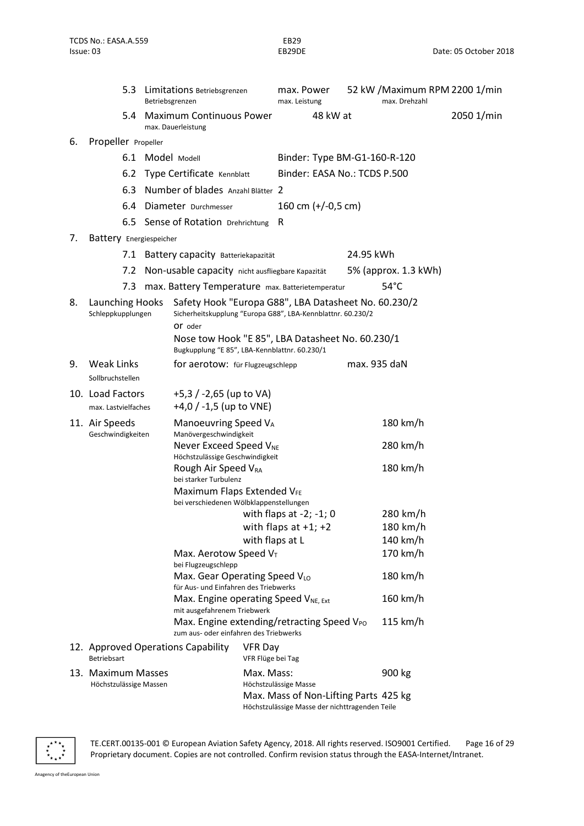|    |                                              | 5.3 Limitations Betriebsgrenzen<br>Betriebsgrenzen                                              | max. Power<br>max. Leistung                                                                       | 52 kW / Maximum RPM 2200 1/min<br>max. Drehzahl      |            |
|----|----------------------------------------------|-------------------------------------------------------------------------------------------------|---------------------------------------------------------------------------------------------------|------------------------------------------------------|------------|
|    | 5.4                                          | <b>Maximum Continuous Power</b><br>max. Dauerleistung                                           |                                                                                                   | 48 kW at                                             | 2050 1/min |
| 6. | Propeller Propeller                          |                                                                                                 |                                                                                                   |                                                      |            |
|    |                                              | 6.1 Model Modell                                                                                |                                                                                                   | Binder: Type BM-G1-160-R-120                         |            |
|    |                                              | 6.2 Type Certificate Kennblatt                                                                  |                                                                                                   | Binder: EASA No.: TCDS P.500                         |            |
|    |                                              | 6.3 Number of blades Anzahl Blätter 2                                                           |                                                                                                   |                                                      |            |
|    | 6.4                                          | Diameter Durchmesser                                                                            | 160 cm $(+/-0.5$ cm)                                                                              |                                                      |            |
|    |                                              | 6.5 Sense of Rotation Drehrichtung                                                              | R                                                                                                 |                                                      |            |
| 7. | Battery Energiespeicher                      |                                                                                                 |                                                                                                   |                                                      |            |
|    |                                              | 7.1 Battery capacity Batteriekapazität                                                          |                                                                                                   | 24.95 kWh                                            |            |
|    | 7.2                                          |                                                                                                 | Non-usable capacity nicht ausfliegbare Kapazität                                                  | 5% (approx. 1.3 kWh)                                 |            |
|    | 7.3                                          |                                                                                                 | max. Battery Temperature max. Batterietemperatur                                                  | $54^{\circ}$ C                                       |            |
| 8. | Launching Hooks<br>Schleppkupplungen         | Or oder                                                                                         | Sicherheitskupplung "Europa G88", LBA-Kennblattnr. 60.230/2                                       | Safety Hook "Europa G88", LBA Datasheet No. 60.230/2 |            |
|    |                                              |                                                                                                 | Nose tow Hook "E 85", LBA Datasheet No. 60.230/1<br>Bugkupplung "E 85", LBA-Kennblattnr. 60.230/1 |                                                      |            |
| 9. | <b>Weak Links</b>                            |                                                                                                 | for aerotow: für Flugzeugschlepp                                                                  | max. 935 daN                                         |            |
|    | Sollbruchstellen                             |                                                                                                 |                                                                                                   |                                                      |            |
|    | 10. Load Factors<br>max. Lastvielfaches      | +5,3 / -2,65 (up to VA)<br>+4,0 $/$ -1,5 (up to VNE)                                            |                                                                                                   |                                                      |            |
|    | 11. Air Speeds                               | Manoeuvring Speed V <sub>A</sub>                                                                |                                                                                                   | 180 km/h                                             |            |
|    | Geschwindigkeiten                            | Manövergeschwindigkeit<br>Never Exceed Speed V <sub>NE</sub><br>Höchstzulässige Geschwindigkeit |                                                                                                   | 280 km/h                                             |            |
|    |                                              | Rough Air Speed V <sub>RA</sub>                                                                 |                                                                                                   | 180 km/h                                             |            |
|    |                                              | bei starker Turbulenz                                                                           |                                                                                                   |                                                      |            |
|    |                                              |                                                                                                 | Maximum Flaps Extended VFE<br>bei verschiedenen Wölbklappenstellungen                             |                                                      |            |
|    |                                              |                                                                                                 | with flaps at $-2$ ; $-1$ ; 0                                                                     | 280 km/h                                             |            |
|    |                                              |                                                                                                 | with flaps at $+1$ ; $+2$                                                                         | 180 km/h                                             |            |
|    |                                              |                                                                                                 | with flaps at L                                                                                   | 140 km/h                                             |            |
|    |                                              | Max. Aerotow Speed $V_T$<br>bei Flugzeugschlepp                                                 |                                                                                                   | 170 km/h                                             |            |
|    |                                              | für Aus- und Einfahren des Triebwerks                                                           | Max. Gear Operating Speed VLO                                                                     | 180 km/h                                             |            |
|    |                                              | mit ausgefahrenem Triebwerk                                                                     | Max. Engine operating Speed $V_{NE, Ext}$                                                         | 160 km/h                                             |            |
|    |                                              |                                                                                                 | Max. Engine extending/retracting Speed $V_{PO}$<br>zum aus- oder einfahren des Triebwerks         | 115 km/h                                             |            |
|    | <b>Betriebsart</b>                           | 12. Approved Operations Capability                                                              | <b>VFR Day</b><br>VFR Flüge bei Tag                                                               |                                                      |            |
|    | 13. Maximum Masses<br>Höchstzulässige Massen |                                                                                                 | Max. Mass:<br>Höchstzulässige Masse                                                               | 900 kg                                               |            |
|    |                                              |                                                                                                 | Höchstzulässige Masse der nichttragenden Teile                                                    | Max. Mass of Non-Lifting Parts 425 kg                |            |



TE.CERT.00135-001 © European Aviation Safety Agency, 2018. All rights reserved. ISO9001 Certified. Page 16 of 29 Proprietary document. Copies are not controlled. Confirm revision status through the EASA-Internet/Intranet.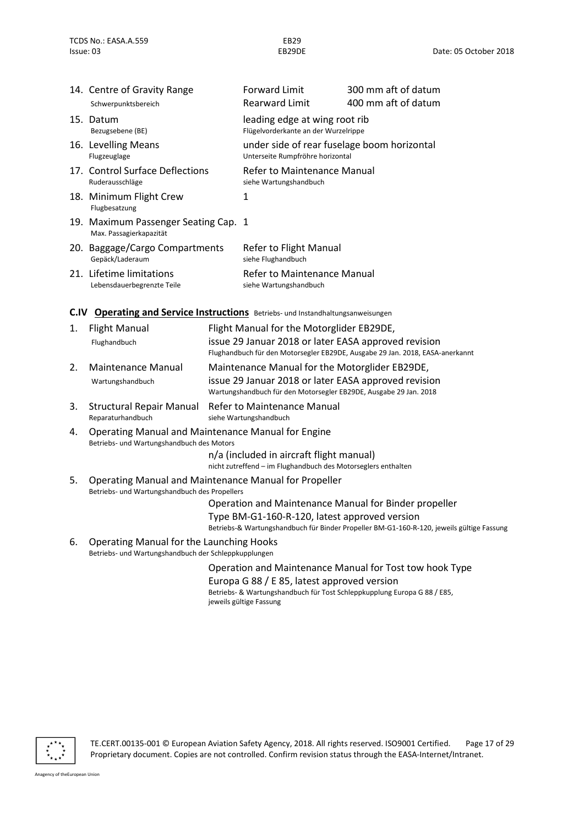| 14. Centre of Gravity Range<br>Schwerpunktsbereich              | 300 mm aft of datum<br><b>Forward Limit</b><br>Rearward Limit<br>400 mm aft of datum |  |  |
|-----------------------------------------------------------------|--------------------------------------------------------------------------------------|--|--|
| 15. Datum<br>Bezugsebene (BE)                                   | leading edge at wing root rib<br>Flügelvorderkante an der Wurzelrippe                |  |  |
| 16. Levelling Means<br>Flugzeuglage                             | under side of rear fuselage boom horizontal<br>Unterseite Rumpfröhre horizontal      |  |  |
| 17. Control Surface Deflections<br>Ruderausschläge              | Refer to Maintenance Manual<br>siehe Wartungshandbuch                                |  |  |
| 18. Minimum Flight Crew<br>Flugbesatzung                        | 1                                                                                    |  |  |
| 19. Maximum Passenger Seating Cap. 1<br>Max. Passagierkapazität |                                                                                      |  |  |
| 20. Baggage/Cargo Compartments<br>Gepäck/Laderaum               | Refer to Flight Manual<br>siehe Flughandbuch                                         |  |  |
| 21. Lifetime limitations<br>Lebensdauerbegrenzte Teile          | Refer to Maintenance Manual<br>siehe Wartungshandbuch                                |  |  |

## C.IV Operating and Service Instructions Betriebs- und Instandhaltungsanweisungen

| 1. | <b>Flight Manual</b><br>Flughandbuch                                                                                                                                                                         | Flight Manual for the Motorglider EB29DE,<br>issue 29 Januar 2018 or later EASA approved revision<br>Flughandbuch für den Motorsegler EB29DE, Ausgabe 29 Jan. 2018, EASA-anerkannt                                                                           |  |  |  |
|----|--------------------------------------------------------------------------------------------------------------------------------------------------------------------------------------------------------------|--------------------------------------------------------------------------------------------------------------------------------------------------------------------------------------------------------------------------------------------------------------|--|--|--|
| 2. | Maintenance Manual<br>Wartungshandbuch                                                                                                                                                                       | Maintenance Manual for the Motorglider EB29DE,<br>issue 29 Januar 2018 or later EASA approved revision<br>Wartungshandbuch für den Motorsegler EB29DE, Ausgabe 29 Jan. 2018                                                                                  |  |  |  |
| 3. | <b>Structural Repair Manual</b><br>Reparaturhandbuch                                                                                                                                                         | Refer to Maintenance Manual<br>siehe Wartungshandbuch                                                                                                                                                                                                        |  |  |  |
| 4. | Operating Manual and Maintenance Manual for Engine<br>Betriebs- und Wartungshandbuch des Motors<br>n/a (included in aircraft flight manual)<br>nicht zutreffend - im Flughandbuch des Motorseglers enthalten |                                                                                                                                                                                                                                                              |  |  |  |
| 5. | Betriebs- und Wartungshandbuch des Propellers                                                                                                                                                                | Operating Manual and Maintenance Manual for Propeller<br>Operation and Maintenance Manual for Binder propeller<br>Type BM-G1-160-R-120, latest approved version<br>Betriebs-& Wartungshandbuch für Binder Propeller BM-G1-160-R-120, jeweils gültige Fassung |  |  |  |
| 6. | Operating Manual for the Launching Hooks<br>Betriebs- und Wartungshandbuch der Schleppkupplungen                                                                                                             |                                                                                                                                                                                                                                                              |  |  |  |
|    |                                                                                                                                                                                                              | Operation and Maintenance Manual for Tost tow hook Type                                                                                                                                                                                                      |  |  |  |

Europa G 88 / E 85, latest approved version

 Betriebs- & Wartungshandbuch für Tost Schleppkupplung Europa G 88 / E85, jeweils gültige Fassung



TE.CERT.00135-001 © European Aviation Safety Agency, 2018. All rights reserved. ISO9001 Certified. Page 17 of 29 Proprietary document. Copies are not controlled. Confirm revision status through the EASA-Internet/Intranet.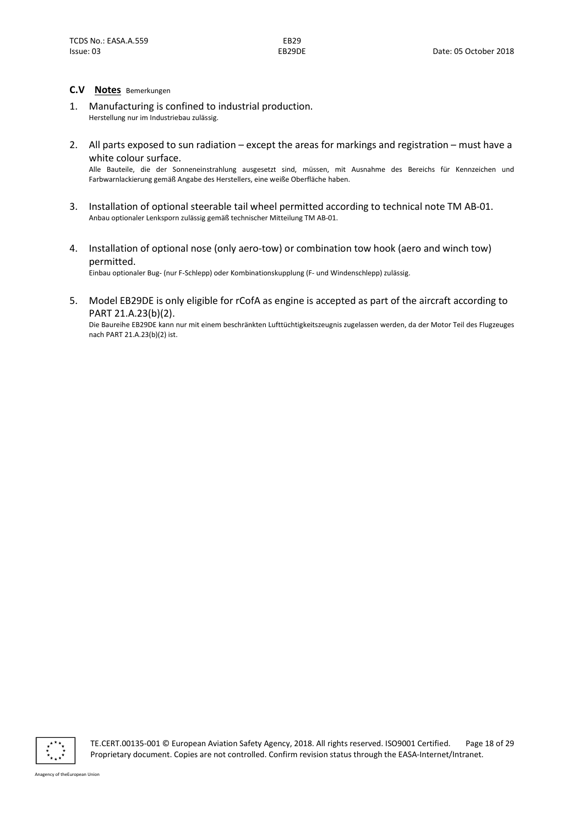#### C.V Notes Bemerkungen

- 1. Manufacturing is confined to industrial production. Herstellung nur im Industriebau zulässig.
- 2. All parts exposed to sun radiation except the areas for markings and registration must have a white colour surface.

Alle Bauteile, die der Sonneneinstrahlung ausgesetzt sind, müssen, mit Ausnahme des Bereichs für Kennzeichen und Farbwarnlackierung gemäß Angabe des Herstellers, eine weiße Oberfläche haben.

- 3. Installation of optional steerable tail wheel permitted according to technical note TM AB-01. Anbau optionaler Lenksporn zulässig gemäß technischer Mitteilung TM AB-01.
- 4. Installation of optional nose (only aero-tow) or combination tow hook (aero and winch tow) permitted.

Einbau optionaler Bug- (nur F-Schlepp) oder Kombinationskupplung (F- und Windenschlepp) zulässig.

5. Model EB29DE is only eligible for rCofA as engine is accepted as part of the aircraft according to PART 21.A.23(b)(2).

Die Baureihe EB29DE kann nur mit einem beschränkten Lufttüchtigkeitszeugnis zugelassen werden, da der Motor Teil des Flugzeuges nach PART 21.A.23(b)(2) ist.



TE.CERT.00135-001 © European Aviation Safety Agency, 2018. All rights reserved. ISO9001 Certified. Page 18 of 29 Proprietary document. Copies are not controlled. Confirm revision status through the EASA-Internet/Intranet.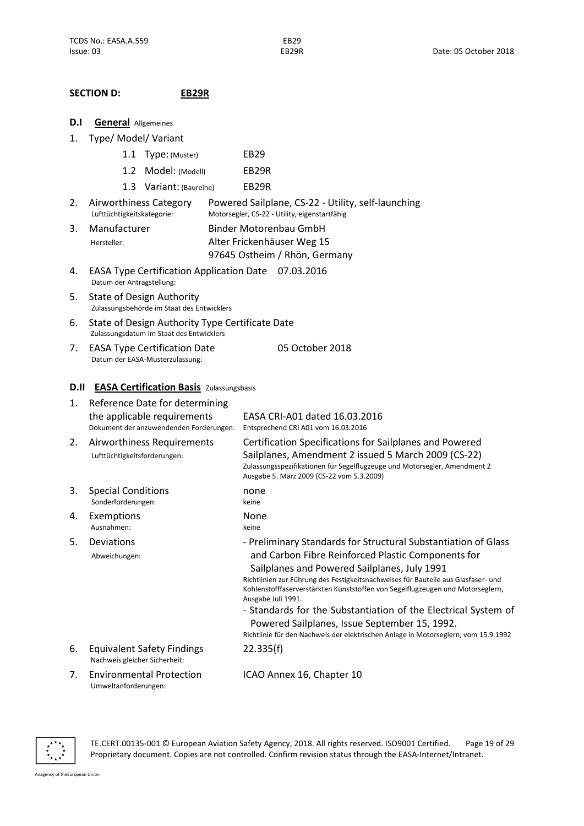# SECTION D: EB29R

| D.I  | <b>General</b> Allgemeines                                                                  |                                                                                                                                                                                                                                                                                                                                                                                                                                                                                                                                                                            |
|------|---------------------------------------------------------------------------------------------|----------------------------------------------------------------------------------------------------------------------------------------------------------------------------------------------------------------------------------------------------------------------------------------------------------------------------------------------------------------------------------------------------------------------------------------------------------------------------------------------------------------------------------------------------------------------------|
| 1.   | Type/ Model/ Variant                                                                        |                                                                                                                                                                                                                                                                                                                                                                                                                                                                                                                                                                            |
|      | 1.1 Type: (Muster)                                                                          | EB29                                                                                                                                                                                                                                                                                                                                                                                                                                                                                                                                                                       |
|      | Model: (Modell)<br>1.2 <sub>1</sub>                                                         | EB29R                                                                                                                                                                                                                                                                                                                                                                                                                                                                                                                                                                      |
|      | 1.3<br>Variant: (Baureihe)                                                                  | EB29R                                                                                                                                                                                                                                                                                                                                                                                                                                                                                                                                                                      |
| 2.   | Airworthiness Category<br>Lufttüchtigkeitskategorie:                                        | Powered Sailplane, CS-22 - Utility, self-launching<br>Motorsegler, CS-22 - Utility, eigenstartfähig                                                                                                                                                                                                                                                                                                                                                                                                                                                                        |
| 3.   | Manufacturer<br>Hersteller:                                                                 | <b>Binder Motorenbau GmbH</b><br>Alter Frickenhäuser Weg 15<br>97645 Ostheim / Rhön, Germany                                                                                                                                                                                                                                                                                                                                                                                                                                                                               |
| 4.   | EASA Type Certification Application Date 07.03.2016<br>Datum der Antragstellung:            |                                                                                                                                                                                                                                                                                                                                                                                                                                                                                                                                                                            |
| 5.   | <b>State of Design Authority</b><br>Zulassungsbehörde im Staat des Entwicklers              |                                                                                                                                                                                                                                                                                                                                                                                                                                                                                                                                                                            |
| 6.   | State of Design Authority Type Certificate Date<br>Zulassungsdatum im Staat des Entwicklers |                                                                                                                                                                                                                                                                                                                                                                                                                                                                                                                                                                            |
| 7.   | <b>EASA Type Certification Date</b><br>Datum der EASA-Musterzulassung:                      | 05 October 2018                                                                                                                                                                                                                                                                                                                                                                                                                                                                                                                                                            |
| D.II | <b>EASA Certification Basis Zulassungsbasis</b>                                             |                                                                                                                                                                                                                                                                                                                                                                                                                                                                                                                                                                            |
| 1.   | Reference Date for determining                                                              |                                                                                                                                                                                                                                                                                                                                                                                                                                                                                                                                                                            |
|      | the applicable requirements<br>Dokument der anzuwendenden Forderungen:                      | EASA CRI-A01 dated 16.03.2016<br>Entsprechend CRI A01 vom 16.03.2016                                                                                                                                                                                                                                                                                                                                                                                                                                                                                                       |
| 2.   | Airworthiness Requirements<br>Lufttüchtigkeitsforderungen:                                  | <b>Certification Specifications for Sailplanes and Powered</b><br>Sailplanes, Amendment 2 issued 5 March 2009 (CS-22)<br>Zulassungsspezifikationen für Segelflugzeuge und Motorsegler, Amendment 2<br>Ausgabe 5. März 2009 (CS-22 vom 5.3.2009)                                                                                                                                                                                                                                                                                                                            |
| 3.   | <b>Special Conditions</b><br>Sonderforderungen:                                             | none<br>keine                                                                                                                                                                                                                                                                                                                                                                                                                                                                                                                                                              |
| 4.   | Exemptions<br>Ausnahmen:                                                                    | None<br>keine                                                                                                                                                                                                                                                                                                                                                                                                                                                                                                                                                              |
| 5.   | Deviations<br>Abweichungen:                                                                 | - Preliminary Standards for Structural Substantiation of Glass<br>and Carbon Fibre Reinforced Plastic Components for<br>Sailplanes and Powered Sailplanes, July 1991<br>Richtlinien zur Führung des Festigkeitsnachweises für Bauteile aus Glasfaser- und<br>Kohlenstofffaserverstärkten Kunststoffen von Segelflugzeugen und Motorseglern,<br>Ausgabe Juli 1991.<br>- Standards for the Substantiation of the Electrical System of<br>Powered Sailplanes, Issue September 15, 1992.<br>Richtlinie für den Nachweis der elektrischen Anlage in Motorseglern, vom 15.9.1992 |
| 6.   | <b>Equivalent Safety Findings</b><br>Nachweis gleicher Sicherheit:                          | 22.335(f)                                                                                                                                                                                                                                                                                                                                                                                                                                                                                                                                                                  |
| 7.   | <b>Environmental Protection</b>                                                             | ICAO Annex 16, Chapter 10                                                                                                                                                                                                                                                                                                                                                                                                                                                                                                                                                  |



TE.CERT.00135-001 © European Aviation Safety Agency, 2018. All rights reserved. ISO9001 Certified. Page 19 of 29 Proprietary document. Copies are not controlled. Confirm revision status through the EASA-Internet/Intranet.

Umweltanforderungen: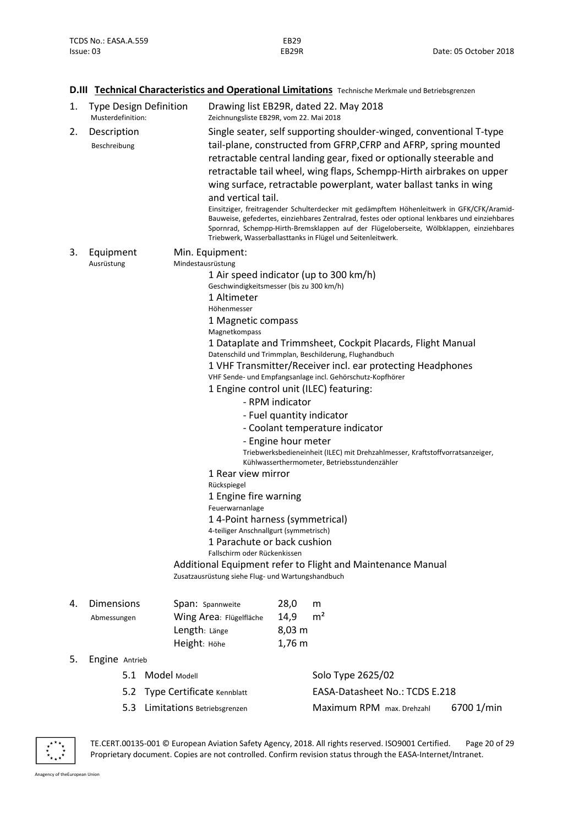## D.III Technical Characteristics and Operational Limitations Technische Merkmale und Betriebsgrenzen

| 1. | <b>Type Design Definition</b><br>Drawing list EB29R, dated 22. May 2018<br>Musterdefinition:<br>Zeichnungsliste EB29R, vom 22. Mai 2018 |                               |                                                                                                                                                                                                                                                                                                                                                                                                                                                              |                                        |                                                                                                                                                                                                                                                                                                                                                                                                                                                                                                                                                                                                                                                                                                                      |            |
|----|-----------------------------------------------------------------------------------------------------------------------------------------|-------------------------------|--------------------------------------------------------------------------------------------------------------------------------------------------------------------------------------------------------------------------------------------------------------------------------------------------------------------------------------------------------------------------------------------------------------------------------------------------------------|----------------------------------------|----------------------------------------------------------------------------------------------------------------------------------------------------------------------------------------------------------------------------------------------------------------------------------------------------------------------------------------------------------------------------------------------------------------------------------------------------------------------------------------------------------------------------------------------------------------------------------------------------------------------------------------------------------------------------------------------------------------------|------------|
| 2. | Description<br>Beschreibung                                                                                                             |                               | and vertical tail.                                                                                                                                                                                                                                                                                                                                                                                                                                           |                                        | Single seater, self supporting shoulder-winged, conventional T-type<br>tail-plane, constructed from GFRP, CFRP and AFRP, spring mounted<br>retractable central landing gear, fixed or optionally steerable and<br>retractable tail wheel, wing flaps, Schempp-Hirth airbrakes on upper<br>wing surface, retractable powerplant, water ballast tanks in wing<br>Einsitziger, freitragender Schulterdecker mit gedämpftem Höhenleitwerk in GFK/CFK/Aramid-<br>Bauweise, gefedertes, einziehbares Zentralrad, festes oder optional lenkbares und einziehbares<br>Spornrad, Schempp-Hirth-Bremsklappen auf der Flügeloberseite, Wölbklappen, einziehbares<br>Triebwerk, Wasserballasttanks in Flügel und Seitenleitwerk. |            |
| 3. | Equipment<br>Ausrüstung                                                                                                                 | Mindestausrüstung             | Min. Equipment:<br>Geschwindigkeitsmesser (bis zu 300 km/h)<br>1 Altimeter<br>Höhenmesser<br>1 Magnetic compass<br>Magnetkompass<br>1 Engine control unit (ILEC) featuring:<br>1 Rear view mirror<br>Rückspiegel<br>1 Engine fire warning<br>Feuerwarnanlage<br>14-Point harness (symmetrical)<br>4-teiliger Anschnallgurt (symmetrisch)<br>1 Parachute or back cushion<br>Fallschirm oder Rückenkissen<br>Zusatzausrüstung siehe Flug- und Wartungshandbuch | - RPM indicator<br>- Engine hour meter | 1 Air speed indicator (up to 300 km/h)<br>1 Dataplate and Trimmsheet, Cockpit Placards, Flight Manual<br>Datenschild und Trimmplan, Beschilderung, Flughandbuch<br>1 VHF Transmitter/Receiver incl. ear protecting Headphones<br>VHF Sende- und Empfangsanlage incl. Gehörschutz-Kopfhörer<br>- Fuel quantity indicator<br>- Coolant temperature indicator<br>Triebwerksbedieneinheit (ILEC) mit Drehzahlmesser, Kraftstoffvorratsanzeiger,<br>Kühlwasserthermometer, Betriebsstundenzähler<br>Additional Equipment refer to Flight and Maintenance Manual                                                                                                                                                           |            |
| 4. | Dimensions<br>Abmessungen                                                                                                               | Length: Länge<br>Height: Höhe | Span: Spannweite<br>Wing Area: Flügelfläche                                                                                                                                                                                                                                                                                                                                                                                                                  | 28,0<br>14,9<br>8,03 m<br>$1,76 \; m$  | m<br>m <sup>2</sup>                                                                                                                                                                                                                                                                                                                                                                                                                                                                                                                                                                                                                                                                                                  |            |
| 5. | Engine Antrieb                                                                                                                          |                               |                                                                                                                                                                                                                                                                                                                                                                                                                                                              |                                        |                                                                                                                                                                                                                                                                                                                                                                                                                                                                                                                                                                                                                                                                                                                      |            |
|    | 5.1                                                                                                                                     | Model Modell                  |                                                                                                                                                                                                                                                                                                                                                                                                                                                              |                                        | Solo Type 2625/02                                                                                                                                                                                                                                                                                                                                                                                                                                                                                                                                                                                                                                                                                                    |            |
|    | 5.2                                                                                                                                     | Type Certificate Kennblatt    |                                                                                                                                                                                                                                                                                                                                                                                                                                                              |                                        | EASA-Datasheet No.: TCDS E.218                                                                                                                                                                                                                                                                                                                                                                                                                                                                                                                                                                                                                                                                                       |            |
|    | 5.3                                                                                                                                     | Limitations Betriebsgrenzen   |                                                                                                                                                                                                                                                                                                                                                                                                                                                              |                                        | Maximum RPM max. Drehzahl                                                                                                                                                                                                                                                                                                                                                                                                                                                                                                                                                                                                                                                                                            | 6700 1/min |



TE.CERT.00135-001 © European Aviation Safety Agency, 2018. All rights reserved. ISO9001 Certified. Page 20 of 29 Proprietary document. Copies are not controlled. Confirm revision status through the EASA-Internet/Intranet.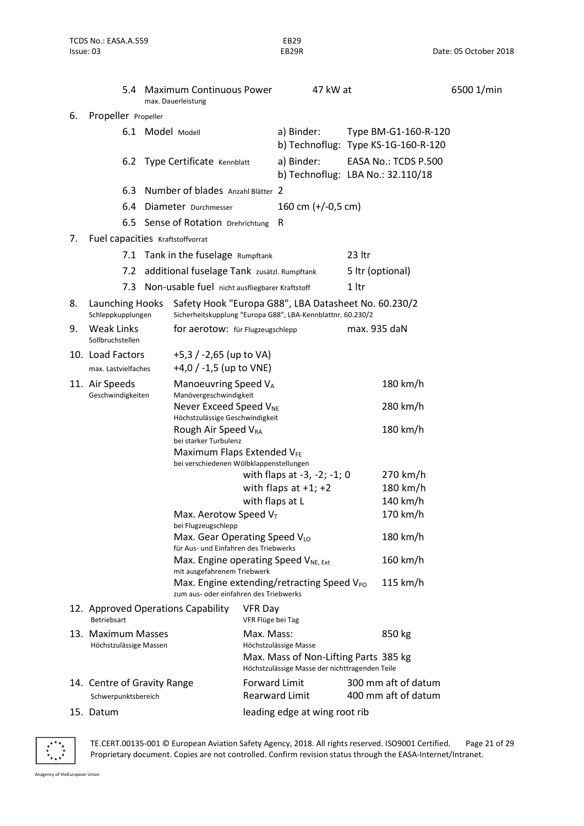|    |                                                                                                   | 5.4 Maximum Continuous Power<br>max. Dauerleistung                     |                                     | 47 kW at                                                                                                            |                  |                                            | 6500 1/min |
|----|---------------------------------------------------------------------------------------------------|------------------------------------------------------------------------|-------------------------------------|---------------------------------------------------------------------------------------------------------------------|------------------|--------------------------------------------|------------|
| 6. | Propeller Propeller                                                                               |                                                                        |                                     |                                                                                                                     |                  |                                            |            |
|    | 6.1 Model Modell                                                                                  |                                                                        |                                     | a) Binder:<br>b) Technoflug: Type KS-1G-160-R-120                                                                   |                  | Type BM-G1-160-R-120                       |            |
|    |                                                                                                   | 6.2 Type Certificate Kennblatt                                         |                                     | a) Binder:<br>b) Technoflug: LBA No.: 32.110/18                                                                     |                  | EASA No.: TCDS P.500                       |            |
|    |                                                                                                   | 6.3 Number of blades Anzahl Blätter 2                                  |                                     |                                                                                                                     |                  |                                            |            |
|    | 6.4                                                                                               | Diameter Durchmesser                                                   |                                     | 160 cm $(+/-0.5$ cm)                                                                                                |                  |                                            |            |
|    |                                                                                                   | 6.5 Sense of Rotation Drehrichtung                                     |                                     | R                                                                                                                   |                  |                                            |            |
| 7. | Fuel capacities Kraftstoffvorrat                                                                  |                                                                        |                                     |                                                                                                                     |                  |                                            |            |
|    |                                                                                                   | 7.1 Tank in the fuselage Rumpftank                                     |                                     |                                                                                                                     | 23 ltr           |                                            |            |
|    | 7.2                                                                                               | additional fuselage Tank zusätzl. Rumpftank                            |                                     |                                                                                                                     | 5 ltr (optional) |                                            |            |
|    | 7.3                                                                                               | Non-usable fuel nicht ausfliegbarer Kraftstoff                         |                                     |                                                                                                                     | 1 ltr            |                                            |            |
| 8. | Launching Hooks<br>Schleppkupplungen                                                              |                                                                        |                                     | Safety Hook "Europa G88", LBA Datasheet No. 60.230/2<br>Sicherheitskupplung "Europa G88", LBA-Kennblattnr. 60.230/2 |                  |                                            |            |
| 9. | Weak Links<br>Sollbruchstellen                                                                    | for aerotow: für Flugzeugschlepp                                       |                                     |                                                                                                                     | max. 935 daN     |                                            |            |
|    | +5,3 $/$ -2,65 (up to VA)<br>10. Load Factors<br>+4,0 $/$ -1,5 (up to VNE)<br>max. Lastvielfaches |                                                                        |                                     |                                                                                                                     |                  |                                            |            |
|    | 11. Air Speeds<br>Manoeuvring Speed VA<br>Geschwindigkeiten<br>Manövergeschwindigkeit             |                                                                        |                                     |                                                                                                                     |                  | 180 km/h                                   |            |
|    |                                                                                                   | Never Exceed Speed V <sub>NE</sub><br>Höchstzulässige Geschwindigkeit  |                                     |                                                                                                                     |                  | 280 km/h                                   |            |
|    |                                                                                                   | Rough Air Speed V <sub>RA</sub><br>bei starker Turbulenz               |                                     |                                                                                                                     |                  | 180 km/h                                   |            |
|    |                                                                                                   | Maximum Flaps Extended VFE                                             |                                     |                                                                                                                     |                  |                                            |            |
|    |                                                                                                   | bei verschiedenen Wölbklappenstellungen                                |                                     | with flaps at $-3$ , $-2$ ; $-1$ ; 0                                                                                |                  | 270 km/h                                   |            |
|    |                                                                                                   |                                                                        |                                     | with flaps at $+1$ ; $+2$                                                                                           |                  | 180 km/h                                   |            |
|    |                                                                                                   |                                                                        | with flaps at L                     |                                                                                                                     |                  | 140 km/h                                   |            |
|    |                                                                                                   | Max. Aerotow Speed V <sub>T</sub><br>bei Flugzeugschlepp               |                                     |                                                                                                                     |                  | 170 km/h                                   |            |
|    |                                                                                                   | Max. Gear Operating Speed VLO<br>für Aus- und Einfahren des Triebwerks |                                     |                                                                                                                     |                  | 180 km/h                                   |            |
|    | Max. Engine operating Speed $V_{NE. Ext}$<br>mit ausgefahrenem Triebwerk                          |                                                                        |                                     |                                                                                                                     |                  | 160 km/h                                   |            |
|    |                                                                                                   | zum aus- oder einfahren des Triebwerks                                 |                                     | Max. Engine extending/retracting Speed V <sub>PO</sub>                                                              |                  | $115$ km/h                                 |            |
|    | <b>Betriebsart</b>                                                                                | 12. Approved Operations Capability                                     | <b>VFR Day</b><br>VFR Flüge bei Tag |                                                                                                                     |                  |                                            |            |
|    | 13. Maximum Masses<br>Höchstzulässige Massen                                                      |                                                                        | Max. Mass:                          | Höchstzulässige Masse                                                                                               |                  | 850 kg                                     |            |
|    |                                                                                                   |                                                                        |                                     | Max. Mass of Non-Lifting Parts 385 kg<br>Höchstzulässige Masse der nichttragenden Teile                             |                  |                                            |            |
|    | 14. Centre of Gravity Range<br>Schwerpunktsbereich                                                |                                                                        | <b>Forward Limit</b>                | <b>Rearward Limit</b>                                                                                               |                  | 300 mm aft of datum<br>400 mm aft of datum |            |
|    | 15. Datum                                                                                         |                                                                        |                                     | leading edge at wing root rib                                                                                       |                  |                                            |            |



TE.CERT.00135-001 © European Aviation Safety Agency, 2018. All rights reserved. ISO9001 Certified. Page 21 of 29 Proprietary document. Copies are not controlled. Confirm revision status through the EASA-Internet/Intranet.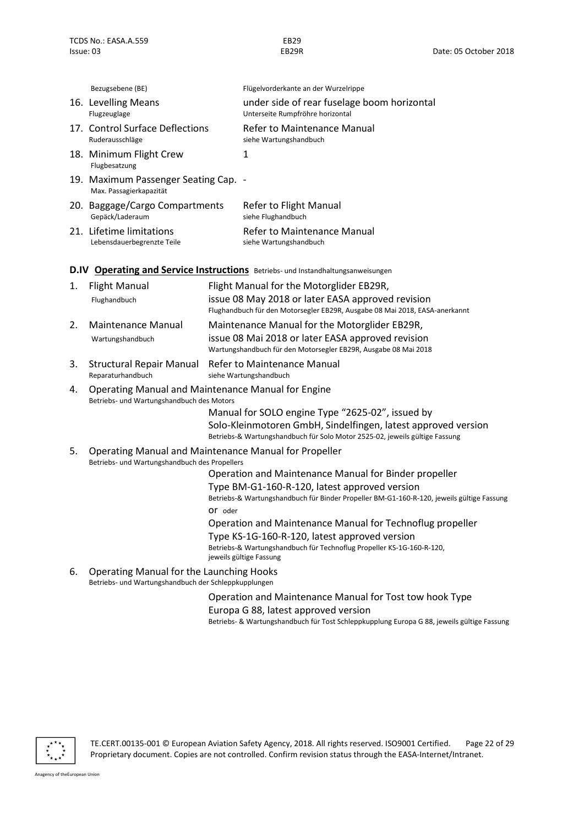| Bezugsebene (BE)                                                | Flügelvorderkante an der Wurzelrippe                                            |
|-----------------------------------------------------------------|---------------------------------------------------------------------------------|
| 16. Levelling Means<br>Flugzeuglage                             | under side of rear fuselage boom horizontal<br>Unterseite Rumpfröhre horizontal |
| 17. Control Surface Deflections<br>Ruderausschläge              | Refer to Maintenance Manual<br>siehe Wartungshandbuch                           |
| 18. Minimum Flight Crew<br>Flugbesatzung                        | 1                                                                               |
| 19. Maximum Passenger Seating Cap. -<br>Max. Passagierkapazität |                                                                                 |
| 20. Baggage/Cargo Compartments<br>Gepäck/Laderaum               | Refer to Flight Manual<br>siehe Flughandbuch                                    |
| 21. Lifetime limitations                                        | Refer to Maintenance Manual                                                     |

#### D.IV Operating and Service Instructions Betriebs- und Instandhaltungsanweisungen

Lebensdauerbegrenzte Teile siehe Wartungshandbuch

| 1. | <b>Flight Manual</b><br>Flughandbuch                                                                    | Flight Manual for the Motorglider EB29R,<br>issue 08 May 2018 or later EASA approved revision<br>Flughandbuch für den Motorsegler EB29R, Ausgabe 08 Mai 2018, EASA-anerkannt                                                                                                                                                                                                                                                                                                              |
|----|---------------------------------------------------------------------------------------------------------|-------------------------------------------------------------------------------------------------------------------------------------------------------------------------------------------------------------------------------------------------------------------------------------------------------------------------------------------------------------------------------------------------------------------------------------------------------------------------------------------|
| 2. | <b>Maintenance Manual</b><br>Wartungshandbuch                                                           | Maintenance Manual for the Motorglider EB29R,<br>issue 08 Mai 2018 or later EASA approved revision<br>Wartungshandbuch für den Motorsegler EB29R, Ausgabe 08 Mai 2018                                                                                                                                                                                                                                                                                                                     |
| 3. | <b>Structural Repair Manual</b><br>Reparaturhandbuch                                                    | Refer to Maintenance Manual<br>siehe Wartungshandbuch                                                                                                                                                                                                                                                                                                                                                                                                                                     |
| 4. | Betriebs- und Wartungshandbuch des Motors                                                               | Operating Manual and Maintenance Manual for Engine<br>Manual for SOLO engine Type "2625-02", issued by<br>Solo-Kleinmotoren GmbH, Sindelfingen, latest approved version<br>Betriebs-& Wartungshandbuch für Solo Motor 2525-02, jeweils gültige Fassung                                                                                                                                                                                                                                    |
| 5. | Betriebs- und Wartungshandbuch des Propellers                                                           | Operating Manual and Maintenance Manual for Propeller<br>Operation and Maintenance Manual for Binder propeller<br>Type BM-G1-160-R-120, latest approved version<br>Betriebs-& Wartungshandbuch für Binder Propeller BM-G1-160-R-120, jeweils gültige Fassung<br>Or oder<br>Operation and Maintenance Manual for Technoflug propeller<br>Type KS-1G-160-R-120, latest approved version<br>Betriebs-& Wartungshandbuch für Technoflug Propeller KS-1G-160-R-120,<br>jeweils gültige Fassung |
| 6. | <b>Operating Manual for the Launching Hooks</b><br>Betriebs- und Wartungshandbuch der Schleppkupplungen |                                                                                                                                                                                                                                                                                                                                                                                                                                                                                           |
|    |                                                                                                         | Operation and Maintenance Manual for Tost tow hook Type                                                                                                                                                                                                                                                                                                                                                                                                                                   |

Europa G 88, latest approved version

Betriebs- & Wartungshandbuch für Tost Schleppkupplung Europa G 88, jeweils gültige Fassung



TE.CERT.00135-001 © European Aviation Safety Agency, 2018. All rights reserved. ISO9001 Certified. Page 22 of 29 Proprietary document. Copies are not controlled. Confirm revision status through the EASA-Internet/Intranet.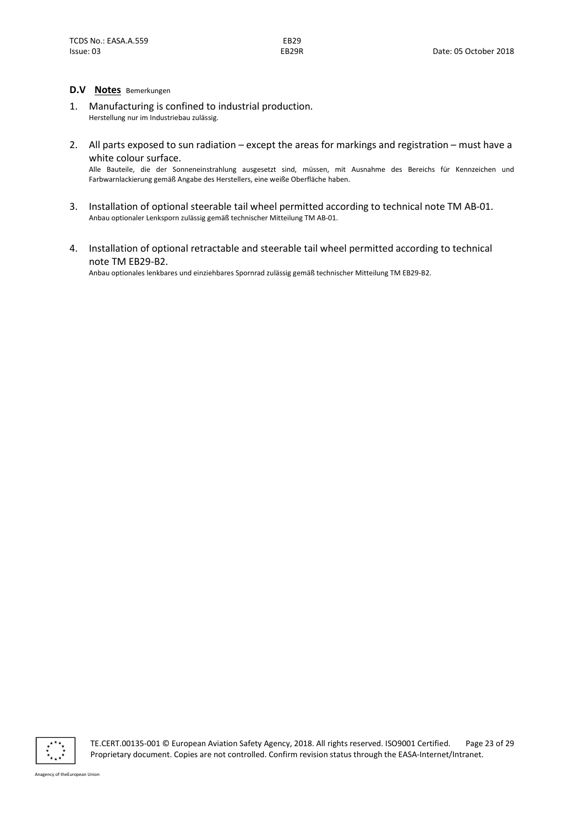#### D.V Notes Bemerkungen

- 1. Manufacturing is confined to industrial production. Herstellung nur im Industriebau zulässig.
- 2. All parts exposed to sun radiation except the areas for markings and registration must have a white colour surface.

Alle Bauteile, die der Sonneneinstrahlung ausgesetzt sind, müssen, mit Ausnahme des Bereichs für Kennzeichen und Farbwarnlackierung gemäß Angabe des Herstellers, eine weiße Oberfläche haben.

- 3. Installation of optional steerable tail wheel permitted according to technical note TM AB-01. Anbau optionaler Lenksporn zulässig gemäß technischer Mitteilung TM AB-01.
- 4. Installation of optional retractable and steerable tail wheel permitted according to technical note TM EB29-B2.

Anbau optionales lenkbares und einziehbares Spornrad zulässig gemäß technischer Mitteilung TM EB29-B2.



TE.CERT.00135-001 © European Aviation Safety Agency, 2018. All rights reserved. ISO9001 Certified. Page 23 of 29 Proprietary document. Copies are not controlled. Confirm revision status through the EASA-Internet/Intranet.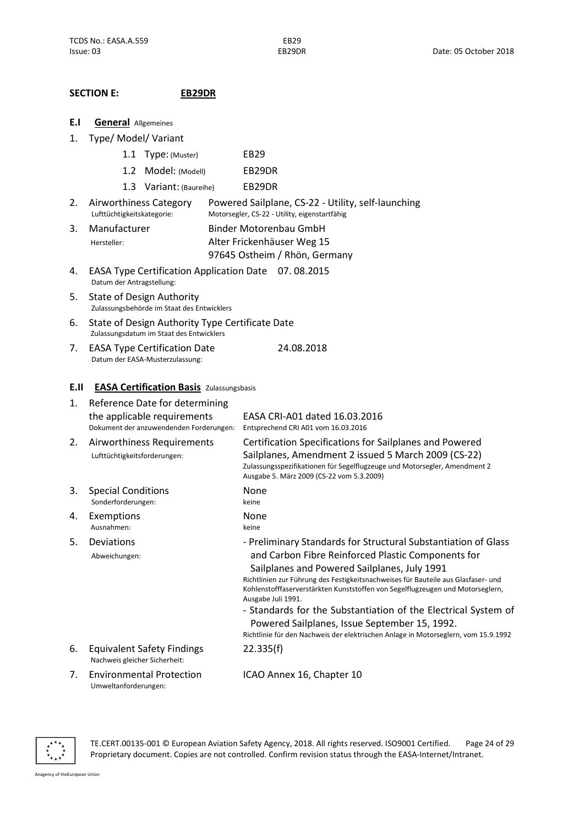# SECTION E: EB29DR

| E.I                          | <b>General</b> Allgemeines                                                           |                                                                                             |  |                                                                                                                                                                                                                                           |  |
|------------------------------|--------------------------------------------------------------------------------------|---------------------------------------------------------------------------------------------|--|-------------------------------------------------------------------------------------------------------------------------------------------------------------------------------------------------------------------------------------------|--|
| 1.                           | Type/ Model/ Variant                                                                 |                                                                                             |  |                                                                                                                                                                                                                                           |  |
|                              |                                                                                      | 1.1 Type: (Muster)                                                                          |  | EB29                                                                                                                                                                                                                                      |  |
|                              | 1.2 <sub>1</sub>                                                                     | Model: (Modell)                                                                             |  | EB29DR                                                                                                                                                                                                                                    |  |
|                              | 1.3 <sub>1</sub><br>Variant: (Baureihe)                                              |                                                                                             |  | EB29DR                                                                                                                                                                                                                                    |  |
| 2.                           | Lufttüchtigkeitskategorie:                                                           | Airworthiness Category                                                                      |  | Powered Sailplane, CS-22 - Utility, self-launching<br>Motorsegler, CS-22 - Utility, eigenstartfähig                                                                                                                                       |  |
| 3.                           | Manufacturer                                                                         |                                                                                             |  | Binder Motorenbau GmbH                                                                                                                                                                                                                    |  |
|                              | Hersteller:                                                                          |                                                                                             |  | Alter Frickenhäuser Weg 15<br>97645 Ostheim / Rhön, Germany                                                                                                                                                                               |  |
| 4.                           | Datum der Antragstellung:                                                            |                                                                                             |  | EASA Type Certification Application Date 07.08.2015                                                                                                                                                                                       |  |
| 5.                           |                                                                                      | <b>State of Design Authority</b><br>Zulassungsbehörde im Staat des Entwicklers              |  |                                                                                                                                                                                                                                           |  |
| 6.                           |                                                                                      | State of Design Authority Type Certificate Date<br>Zulassungsdatum im Staat des Entwicklers |  |                                                                                                                                                                                                                                           |  |
| 7.                           | 24.08.2018<br><b>EASA Type Certification Date</b><br>Datum der EASA-Musterzulassung: |                                                                                             |  |                                                                                                                                                                                                                                           |  |
| E.II                         | <b>EASA Certification Basis Zulassungsbasis</b>                                      |                                                                                             |  |                                                                                                                                                                                                                                           |  |
| 1.                           | Reference Date for determining                                                       |                                                                                             |  |                                                                                                                                                                                                                                           |  |
|                              |                                                                                      | the applicable requirements<br>Dokument der anzuwendenden Forderungen:                      |  | EASA CRI-A01 dated 16.03.2016<br>Entsprechend CRI A01 vom 16.03.2016                                                                                                                                                                      |  |
| 2.                           |                                                                                      | Airworthiness Requirements                                                                  |  | Certification Specifications for Sailplanes and Powered                                                                                                                                                                                   |  |
| Lufttüchtigkeitsforderungen: |                                                                                      |                                                                                             |  | Sailplanes, Amendment 2 issued 5 March 2009 (CS-22)<br>Zulassungsspezifikationen für Segelflugzeuge und Motorsegler, Amendment 2<br>Ausgabe 5. März 2009 (CS-22 vom 5.3.2009)                                                             |  |
| 3.                           | <b>Special Conditions</b><br>Sonderforderungen:                                      |                                                                                             |  | None<br>keine                                                                                                                                                                                                                             |  |
| 4.                           | Exemptions<br>Ausnahmen:                                                             |                                                                                             |  | None<br>keine                                                                                                                                                                                                                             |  |
| 5.                           | Deviations                                                                           |                                                                                             |  | - Preliminary Standards for Structural Substantiation of Glass                                                                                                                                                                            |  |
|                              | Abweichungen:                                                                        |                                                                                             |  | and Carbon Fibre Reinforced Plastic Components for                                                                                                                                                                                        |  |
|                              |                                                                                      |                                                                                             |  | Sailplanes and Powered Sailplanes, July 1991<br>Richtlinien zur Führung des Festigkeitsnachweises für Bauteile aus Glasfaser- und<br>Kohlenstofffaserverstärkten Kunststoffen von Segelflugzeugen und Motorseglern,<br>Ausgabe Juli 1991. |  |
|                              |                                                                                      |                                                                                             |  | - Standards for the Substantiation of the Electrical System of                                                                                                                                                                            |  |
|                              |                                                                                      |                                                                                             |  | Powered Sailplanes, Issue September 15, 1992.<br>Richtlinie für den Nachweis der elektrischen Anlage in Motorseglern, vom 15.9.1992                                                                                                       |  |
| 6.                           | Nachweis gleicher Sicherheit:                                                        | <b>Equivalent Safety Findings</b>                                                           |  | 22.335(f)                                                                                                                                                                                                                                 |  |
| 7.                           |                                                                                      | <b>Environmental Protection</b>                                                             |  | ICAO Annex 16, Chapter 10                                                                                                                                                                                                                 |  |



TE.CERT.00135-001 © European Aviation Safety Agency, 2018. All rights reserved. ISO9001 Certified. Page 24 of 29 Proprietary document. Copies are not controlled. Confirm revision status through the EASA-Internet/Intranet.

Umweltanforderungen: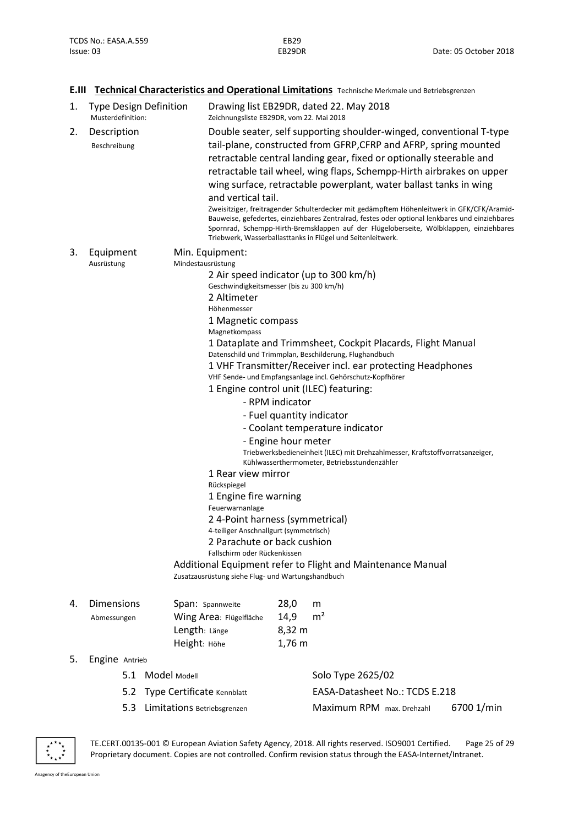# E.III Technical Characteristics and Operational Limitations Technische Merkmale und Betriebsgrenzen

| 1. | <b>Type Design Definition</b><br>Musterdefinition: |                                                                                                                                                                                                                                                                                                                                                                                                                                        | Drawing list EB29DR, dated 22. May 2018<br>Zeichnungsliste EB29DR, vom 22. Mai 2018 |                                                                                                                                                                                                                                                                                                                                                                                                                                                                                                                                                                                                                                                                                                                       |            |  |  |  |
|----|----------------------------------------------------|----------------------------------------------------------------------------------------------------------------------------------------------------------------------------------------------------------------------------------------------------------------------------------------------------------------------------------------------------------------------------------------------------------------------------------------|-------------------------------------------------------------------------------------|-----------------------------------------------------------------------------------------------------------------------------------------------------------------------------------------------------------------------------------------------------------------------------------------------------------------------------------------------------------------------------------------------------------------------------------------------------------------------------------------------------------------------------------------------------------------------------------------------------------------------------------------------------------------------------------------------------------------------|------------|--|--|--|
| 2. | Description<br>Beschreibung                        | and vertical tail.                                                                                                                                                                                                                                                                                                                                                                                                                     |                                                                                     | Double seater, self supporting shoulder-winged, conventional T-type<br>tail-plane, constructed from GFRP, CFRP and AFRP, spring mounted<br>retractable central landing gear, fixed or optionally steerable and<br>retractable tail wheel, wing flaps, Schempp-Hirth airbrakes on upper<br>wing surface, retractable powerplant, water ballast tanks in wing<br>Zweisitziger, freitragender Schulterdecker mit gedämpftem Höhenleitwerk in GFK/CFK/Aramid-<br>Bauweise, gefedertes, einziehbares Zentralrad, festes oder optional lenkbares und einziehbares<br>Spornrad, Schempp-Hirth-Bremsklappen auf der Flügeloberseite, Wölbklappen, einziehbares<br>Triebwerk, Wasserballasttanks in Flügel und Seitenleitwerk. |            |  |  |  |
| 3. | Equipment<br>Ausrüstung                            | Min. Equipment:<br>Mindestausrüstung<br>Geschwindigkeitsmesser (bis zu 300 km/h)<br>2 Altimeter<br>Höhenmesser<br>1 Magnetic compass<br>Magnetkompass<br>1 Rear view mirror<br>Rückspiegel<br>1 Engine fire warning<br>Feuerwarnanlage<br>24-Point harness (symmetrical)<br>4-teiliger Anschnallgurt (symmetrisch)<br>2 Parachute or back cushion<br>Fallschirm oder Rückenkissen<br>Zusatzausrüstung siehe Flug- und Wartungshandbuch | - RPM indicator<br>- Fuel quantity indicator<br>- Engine hour meter                 | 2 Air speed indicator (up to 300 km/h)<br>1 Dataplate and Trimmsheet, Cockpit Placards, Flight Manual<br>Datenschild und Trimmplan, Beschilderung, Flughandbuch<br>1 VHF Transmitter/Receiver incl. ear protecting Headphones<br>VHF Sende- und Empfangsanlage incl. Gehörschutz-Kopfhörer<br>1 Engine control unit (ILEC) featuring:<br>- Coolant temperature indicator<br>Triebwerksbedieneinheit (ILEC) mit Drehzahlmesser, Kraftstoffvorratsanzeiger,<br>Kühlwasserthermometer, Betriebsstundenzähler<br>Additional Equipment refer to Flight and Maintenance Manual                                                                                                                                              |            |  |  |  |
| 4. | <b>Dimensions</b><br>Abmessungen                   | Span: Spannweite<br>Wing Area: Flügelfläche<br>Length: Länge<br>Height: Höhe                                                                                                                                                                                                                                                                                                                                                           | 28,0<br>14,9<br>8,32 m<br>$1,76 \; m$                                               | m<br>m <sup>2</sup>                                                                                                                                                                                                                                                                                                                                                                                                                                                                                                                                                                                                                                                                                                   |            |  |  |  |
| 5. | Engine Antrieb                                     |                                                                                                                                                                                                                                                                                                                                                                                                                                        |                                                                                     |                                                                                                                                                                                                                                                                                                                                                                                                                                                                                                                                                                                                                                                                                                                       |            |  |  |  |
|    | 5.1                                                | Model Modell                                                                                                                                                                                                                                                                                                                                                                                                                           |                                                                                     | Solo Type 2625/02                                                                                                                                                                                                                                                                                                                                                                                                                                                                                                                                                                                                                                                                                                     |            |  |  |  |
|    | 5.2                                                | Type Certificate Kennblatt                                                                                                                                                                                                                                                                                                                                                                                                             |                                                                                     | EASA-Datasheet No.: TCDS E.218                                                                                                                                                                                                                                                                                                                                                                                                                                                                                                                                                                                                                                                                                        |            |  |  |  |
|    | 5.3                                                | Limitations Betriebsgrenzen                                                                                                                                                                                                                                                                                                                                                                                                            |                                                                                     | Maximum RPM max. Drehzahl                                                                                                                                                                                                                                                                                                                                                                                                                                                                                                                                                                                                                                                                                             | 6700 1/min |  |  |  |



TE.CERT.00135-001 © European Aviation Safety Agency, 2018. All rights reserved. ISO9001 Certified. Page 25 of 29 Proprietary document. Copies are not controlled. Confirm revision status through the EASA-Internet/Intranet.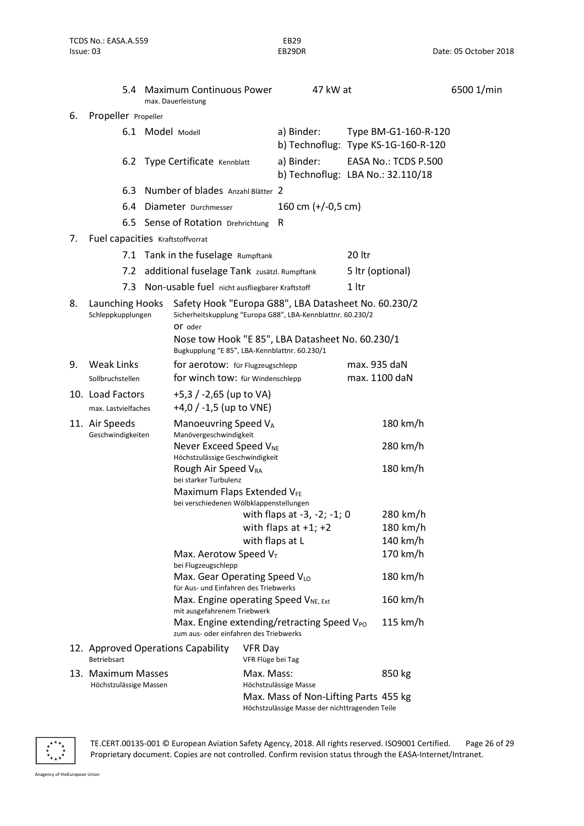|    |                                                          | 5.4 Maximum Continuous Power<br>47 kW at<br>max. Dauerleistung                                |                                                                          |                                                                                                                                                                         | 6500 1/min       |                      |  |
|----|----------------------------------------------------------|-----------------------------------------------------------------------------------------------|--------------------------------------------------------------------------|-------------------------------------------------------------------------------------------------------------------------------------------------------------------------|------------------|----------------------|--|
| 6. | Propeller Propeller                                      |                                                                                               |                                                                          |                                                                                                                                                                         |                  |                      |  |
|    |                                                          | 6.1 Model Modell                                                                              |                                                                          | a) Binder:<br>b) Technoflug: Type KS-1G-160-R-120                                                                                                                       |                  | Type BM-G1-160-R-120 |  |
|    |                                                          | 6.2 Type Certificate Kennblatt                                                                |                                                                          | a) Binder:<br>b) Technoflug: LBA No.: 32.110/18                                                                                                                         |                  | EASA No.: TCDS P.500 |  |
|    |                                                          | 6.3 Number of blades Anzahl Blätter 2                                                         |                                                                          |                                                                                                                                                                         |                  |                      |  |
|    |                                                          | 6.4 Diameter Durchmesser                                                                      |                                                                          | 160 cm $(+/-0.5$ cm)                                                                                                                                                    |                  |                      |  |
|    |                                                          | 6.5 Sense of Rotation Drehrichtung                                                            |                                                                          | R                                                                                                                                                                       |                  |                      |  |
| 7. | Fuel capacities Kraftstoffvorrat                         |                                                                                               |                                                                          |                                                                                                                                                                         |                  |                      |  |
|    |                                                          |                                                                                               | 7.1 Tank in the fuselage Rumpftank                                       |                                                                                                                                                                         | 20 ltr           |                      |  |
|    | 7.2                                                      | additional fuselage Tank zusätzl. Rumpftank                                                   |                                                                          |                                                                                                                                                                         | 5 ltr (optional) |                      |  |
|    | 7.3                                                      | Non-usable fuel nicht ausfliegbarer Kraftstoff                                                |                                                                          |                                                                                                                                                                         | 1 ltr            |                      |  |
| 8. | Launching Hooks<br>Schleppkupplungen<br>Or oder          |                                                                                               |                                                                          | Safety Hook "Europa G88", LBA Datasheet No. 60.230/2<br>Sicherheitskupplung "Europa G88", LBA-Kennblattnr. 60.230/2<br>Nose tow Hook "E 85", LBA Datasheet No. 60.230/1 |                  |                      |  |
|    |                                                          | Bugkupplung "E 85", LBA-Kennblattnr. 60.230/1                                                 |                                                                          |                                                                                                                                                                         |                  |                      |  |
| 9. | <b>Weak Links</b>                                        | for aerotow: für Flugzeugschlepp                                                              |                                                                          |                                                                                                                                                                         | max. 935 daN     |                      |  |
|    | Sollbruchstellen                                         | for winch tow: für Windenschlepp                                                              |                                                                          |                                                                                                                                                                         | max. 1100 daN    |                      |  |
|    | 10. Load Factors                                         | +5,3 / -2,65 (up to VA)<br>+4,0 $/$ -1,5 (up to VNE)                                          |                                                                          |                                                                                                                                                                         |                  |                      |  |
|    | max. Lastvielfaches                                      |                                                                                               |                                                                          |                                                                                                                                                                         |                  | 180 km/h             |  |
|    | 11. Air Speeds<br>Geschwindigkeiten                      | Manoeuvring Speed V <sub>A</sub><br>Manövergeschwindigkeit                                    |                                                                          |                                                                                                                                                                         |                  |                      |  |
|    |                                                          | Never Exceed Speed V <sub>NE</sub><br>Höchstzulässige Geschwindigkeit                         |                                                                          |                                                                                                                                                                         |                  | 280 km/h             |  |
|    |                                                          | Rough Air Speed VRA<br>bei starker Turbulenz                                                  |                                                                          |                                                                                                                                                                         |                  | 180 km/h             |  |
|    |                                                          | Maximum Flaps Extended VFE                                                                    |                                                                          |                                                                                                                                                                         |                  |                      |  |
|    |                                                          | bei verschiedenen Wölbklappenstellungen                                                       |                                                                          | with flaps at -3, -2; -1; 0                                                                                                                                             |                  | 280 km/h             |  |
|    |                                                          |                                                                                               |                                                                          | with flaps at $+1$ ; $+2$                                                                                                                                               |                  | 180 km/h             |  |
|    |                                                          |                                                                                               |                                                                          | with flaps at L                                                                                                                                                         |                  | 140 km/h             |  |
|    |                                                          | Max. Aerotow Speed $V_T$                                                                      |                                                                          |                                                                                                                                                                         |                  | 170 km/h             |  |
|    |                                                          | bei Flugzeugschlepp<br>Max. Gear Operating Speed VLO<br>für Aus- und Einfahren des Triebwerks |                                                                          |                                                                                                                                                                         |                  | 180 km/h             |  |
|    |                                                          |                                                                                               | Max. Engine operating Speed $V_{NE, Ext}$<br>mit ausgefahrenem Triebwerk |                                                                                                                                                                         |                  | 160 km/h             |  |
|    |                                                          | zum aus- oder einfahren des Triebwerks                                                        |                                                                          | Max. Engine extending/retracting Speed $V_{PO}$                                                                                                                         |                  | 115 km/h             |  |
|    | 12. Approved Operations Capability<br><b>Betriebsart</b> |                                                                                               | <b>VFR Day</b><br>VFR Flüge bei Tag                                      |                                                                                                                                                                         |                  |                      |  |
|    | 13. Maximum Masses<br>Höchstzulässige Massen             |                                                                                               | Max. Mass:                                                               | Höchstzulässige Masse                                                                                                                                                   |                  | 850 kg               |  |
|    |                                                          |                                                                                               |                                                                          | Max. Mass of Non-Lifting Parts 455 kg<br>Höchstzulässige Masse der nichttragenden Teile                                                                                 |                  |                      |  |



TE.CERT.00135-001 © European Aviation Safety Agency, 2018. All rights reserved. ISO9001 Certified. Page 26 of 29 Proprietary document. Copies are not controlled. Confirm revision status through the EASA-Internet/Intranet.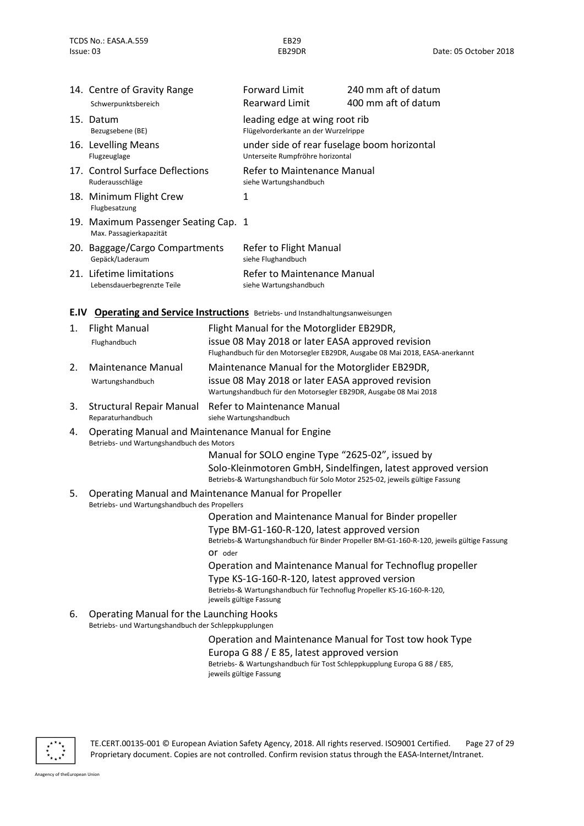|                                                                                              | 14. Centre of Gravity Range<br>Schwerpunktsbereich              | <b>Forward Limit</b><br>Rearward Limit                                          | 240 mm aft of datum<br>400 mm aft of datum |  |  |
|----------------------------------------------------------------------------------------------|-----------------------------------------------------------------|---------------------------------------------------------------------------------|--------------------------------------------|--|--|
|                                                                                              | 15. Datum<br>Bezugsebene (BE)                                   | leading edge at wing root rib<br>Flügelvorderkante an der Wurzelrippe           |                                            |  |  |
|                                                                                              | 16. Levelling Means<br>Flugzeuglage                             | under side of rear fuselage boom horizontal<br>Unterseite Rumpfröhre horizontal |                                            |  |  |
|                                                                                              | 17. Control Surface Deflections<br>Ruderausschläge              | Refer to Maintenance Manual<br>siehe Wartungshandbuch                           |                                            |  |  |
|                                                                                              | 18. Minimum Flight Crew<br>Flugbesatzung                        | 1                                                                               |                                            |  |  |
|                                                                                              | 19. Maximum Passenger Seating Cap. 1<br>Max. Passagierkapazität |                                                                                 |                                            |  |  |
|                                                                                              | 20. Baggage/Cargo Compartments<br>Gepäck/Laderaum               | Refer to Flight Manual<br>siehe Flughandbuch                                    |                                            |  |  |
|                                                                                              | 21. Lifetime limitations<br>Lebensdauerbegrenzte Teile          | Refer to Maintenance Manual<br>siehe Wartungshandbuch                           |                                            |  |  |
| E.IV l<br><b>Operating and Service Instructions</b> Betriebs- und Instandhaltungsanweisungen |                                                                 |                                                                                 |                                            |  |  |

| 1. | <b>Flight Manual</b> | Flight Manual for the Motorglider EB29DR,                                                                                         |  |  |
|----|----------------------|-----------------------------------------------------------------------------------------------------------------------------------|--|--|
|    | Flughandbuch         | issue 08 May 2018 or later EASA approved revision<br>Flughandbuch für den Motorsegler EB29DR, Ausgabe 08 Mai 2018, EASA-anerkannt |  |  |
|    |                      |                                                                                                                                   |  |  |
| 2. | Maintenance Manual   | Maintenance Manual for the Motorglider EB29DR,                                                                                    |  |  |
|    | Wartungshandbuch     | issue 08 May 2018 or later EASA approved revision                                                                                 |  |  |
|    |                      | Wartungshandbuch für den Motorsegler EB29DR, Ausgabe 08 Mai 2018                                                                  |  |  |
|    |                      |                                                                                                                                   |  |  |

- 3. Structural Repair Manual Refer to Maintenance Manual Reparaturhandbuch siehe Wartungshandbuch
- 4. Operating Manual and Maintenance Manual for Engine Betriebs- und Wartungshandbuch des Motors

 Manual for SOLO engine Type "2625-02", issued by Solo-Kleinmotoren GmbH, Sindelfingen, latest approved version Betriebs-& Wartungshandbuch für Solo Motor 2525-02, jeweils gültige Fassung

5. Operating Manual and Maintenance Manual for Propeller Betriebs- und Wartungshandbuch des Propellers

Operation and Maintenance Manual for Binder propeller

#### Type BM-G1-160-R-120, latest approved version

 Betriebs-& Wartungshandbuch für Binder Propeller BM-G1-160-R-120, jeweils gültige Fassung or oder

 Operation and Maintenance Manual for Technoflug propeller Type KS-1G-160-R-120, latest approved version Betriebs-& Wartungshandbuch für Technoflug Propeller KS-1G-160-R-120,

jeweils gültige Fassung

6. Operating Manual for the Launching Hooks Betriebs- und Wartungshandbuch der Schleppkupplungen

# Operation and Maintenance Manual for Tost tow hook Type

Europa G 88 / E 85, latest approved version

 Betriebs- & Wartungshandbuch für Tost Schleppkupplung Europa G 88 / E85, jeweils gültige Fassung



TE.CERT.00135-001 © European Aviation Safety Agency, 2018. All rights reserved. ISO9001 Certified. Page 27 of 29 Proprietary document. Copies are not controlled. Confirm revision status through the EASA-Internet/Intranet.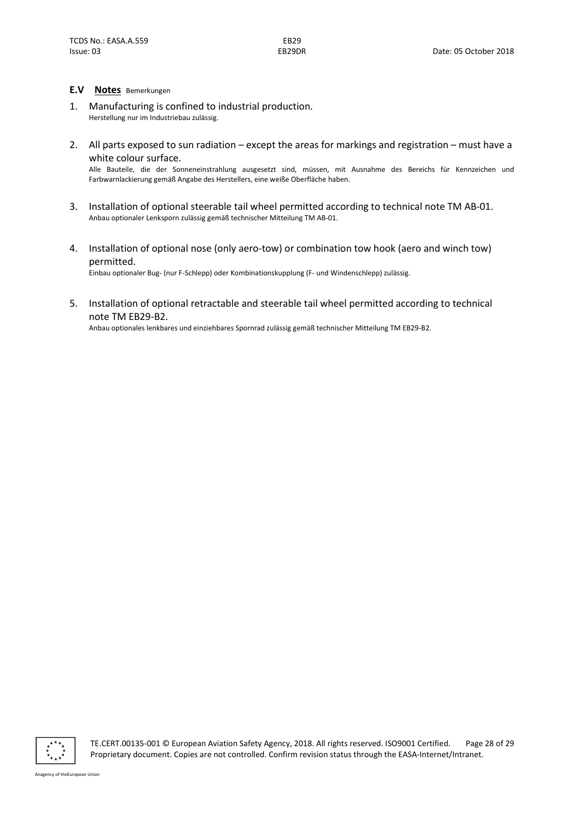#### E.V Notes Bemerkungen

- 1. Manufacturing is confined to industrial production. Herstellung nur im Industriebau zulässig.
- 2. All parts exposed to sun radiation except the areas for markings and registration must have a white colour surface.

Alle Bauteile, die der Sonneneinstrahlung ausgesetzt sind, müssen, mit Ausnahme des Bereichs für Kennzeichen und Farbwarnlackierung gemäß Angabe des Herstellers, eine weiße Oberfläche haben.

- 3. Installation of optional steerable tail wheel permitted according to technical note TM AB-01. Anbau optionaler Lenksporn zulässig gemäß technischer Mitteilung TM AB-01.
- 4. Installation of optional nose (only aero-tow) or combination tow hook (aero and winch tow) permitted.

Einbau optionaler Bug- (nur F-Schlepp) oder Kombinationskupplung (F- und Windenschlepp) zulässig.

5. Installation of optional retractable and steerable tail wheel permitted according to technical note TM EB29-B2.

Anbau optionales lenkbares und einziehbares Spornrad zulässig gemäß technischer Mitteilung TM EB29-B2.



TE.CERT.00135-001 © European Aviation Safety Agency, 2018. All rights reserved. ISO9001 Certified. Page 28 of 29 Proprietary document. Copies are not controlled. Confirm revision status through the EASA-Internet/Intranet.